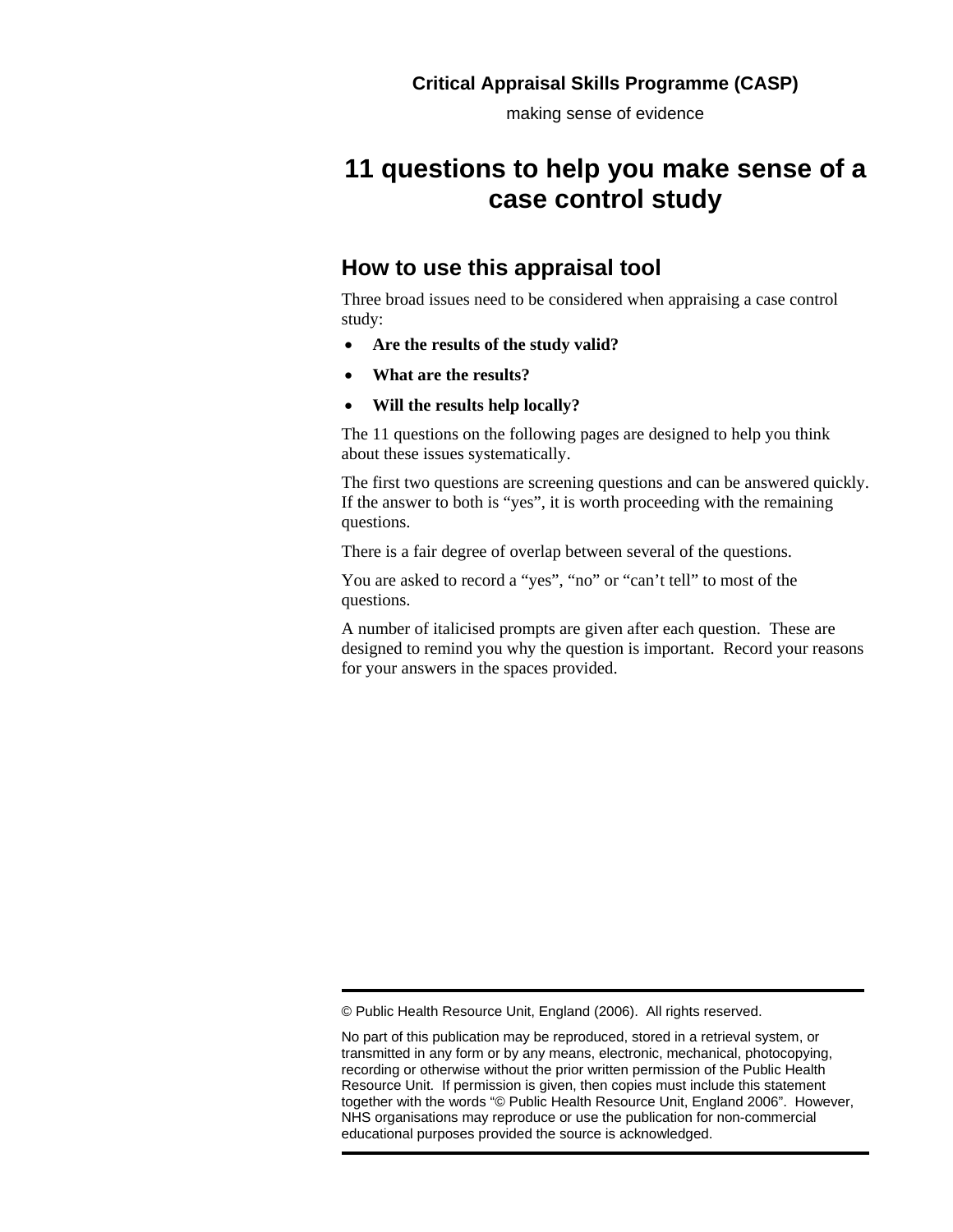making sense of evidence

# **11 questions to help you make sense of a case control study**

### **How to use this appraisal tool**

Three broad issues need to be considered when appraising a case control study:

- **Are the results of the study valid?**
- **What are the results?**
- **Will the results help locally?**

The 11 questions on the following pages are designed to help you think about these issues systematically.

The first two questions are screening questions and can be answered quickly. If the answer to both is "yes", it is worth proceeding with the remaining questions.

There is a fair degree of overlap between several of the questions.

You are asked to record a "yes", "no" or "can't tell" to most of the questions.

A number of italicised prompts are given after each question. These are designed to remind you why the question is important. Record your reasons for your answers in the spaces provided.

<sup>©</sup> Public Health Resource Unit, England (2006). All rights reserved.

No part of this publication may be reproduced, stored in a retrieval system, or transmitted in any form or by any means, electronic, mechanical, photocopying, recording or otherwise without the prior written permission of the Public Health Resource Unit. If permission is given, then copies must include this statement together with the words "© Public Health Resource Unit, England 2006". However, NHS organisations may reproduce or use the publication for non-commercial educational purposes provided the source is acknowledged.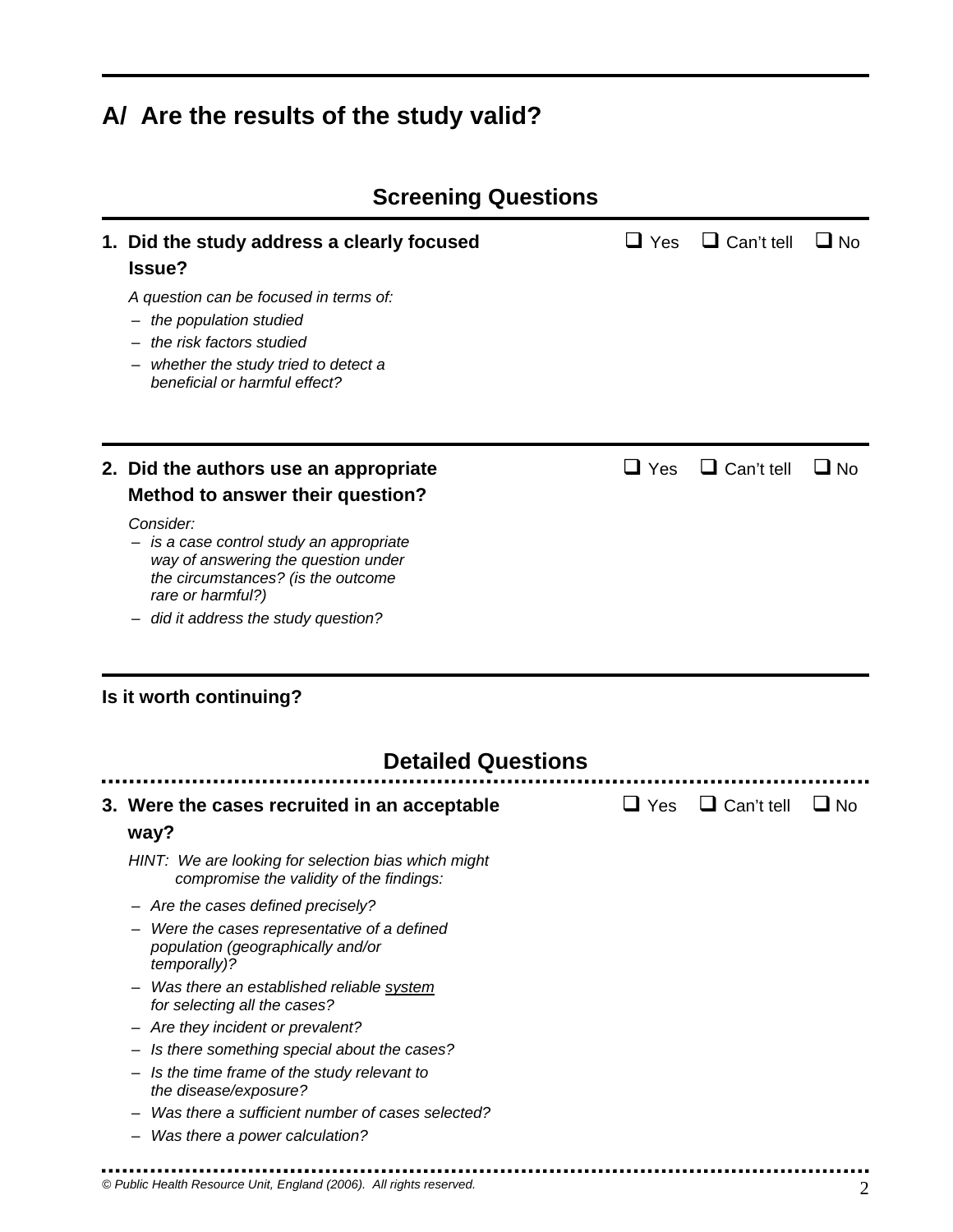# **A/ Are the results of the study valid?**

| 1. Did the study address a clearly focused<br>Issue?                                                                                                    | $\Box$ Yes | $\Box$ Can't tell | $\Box$ No |
|---------------------------------------------------------------------------------------------------------------------------------------------------------|------------|-------------------|-----------|
| A question can be focused in terms of:<br>the population studied                                                                                        |            |                   |           |
| the risk factors studied                                                                                                                                |            |                   |           |
| whether the study tried to detect a<br>beneficial or harmful effect?                                                                                    |            |                   |           |
| 2. Did the authors use an appropriate                                                                                                                   | $\Box$ Yes | $\Box$ Can't tell | $\Box$ No |
| Method to answer their question?                                                                                                                        |            |                   |           |
| Consider:<br>- is a case control study an appropriate<br>way of answering the question under<br>the circumstances? (is the outcome<br>rare or harmful?) |            |                   |           |
| did it address the study question?                                                                                                                      |            |                   |           |
| Is it worth continuing?                                                                                                                                 |            |                   |           |
| <b>Detailed Questions</b>                                                                                                                               |            |                   |           |
| 3. Were the cases recruited in an acceptable                                                                                                            | $\Box$ Yes | $\Box$ Can't tell | $\Box$ No |
| way?                                                                                                                                                    |            |                   |           |
| HINT: We are looking for selection bias which might<br>compromise the validity of the findings:                                                         |            |                   |           |
| - Are the cases defined precisely?                                                                                                                      |            |                   |           |
| Were the cases representative of a defined<br>population (geographically and/or<br>temporally)?                                                         |            |                   |           |
| Was there an established reliable system<br>for selecting all the cases?                                                                                |            |                   |           |
| - Are they incident or prevalent?                                                                                                                       |            |                   |           |
| Is there something special about the cases?                                                                                                             |            |                   |           |
| Is the time frame of the study relevant to<br>the disease/exposure?                                                                                     |            |                   |           |
| Was there a sufficient number of cases selected?                                                                                                        |            |                   |           |
| Was there a power calculation?                                                                                                                          |            |                   |           |
|                                                                                                                                                         |            |                   |           |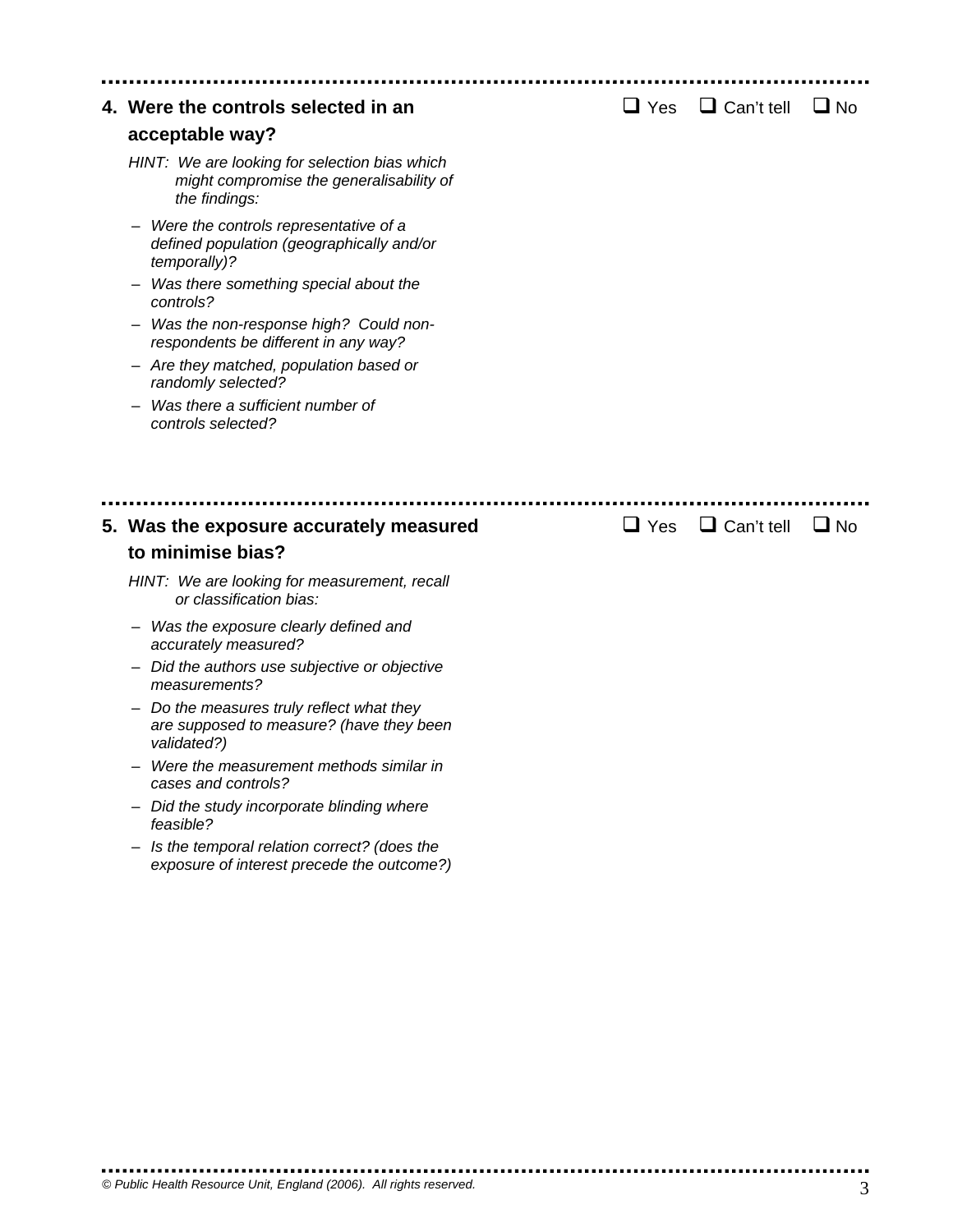| 4. Were the controls selected in an                                                                                                         | $\sqcup$ Yes | $\Box$ Can't tell | $\Box$ No |  |
|---------------------------------------------------------------------------------------------------------------------------------------------|--------------|-------------------|-----------|--|
| acceptable way?                                                                                                                             |              |                   |           |  |
| HINT: We are looking for selection bias which<br>might compromise the generalisability of<br>the findings:                                  |              |                   |           |  |
| Were the controls representative of a<br>defined population (geographically and/or<br>temporally)?<br>Was there something special about the |              |                   |           |  |
| controls?                                                                                                                                   |              |                   |           |  |
| Was the non-response high? Could non-<br>respondents be different in any way?                                                               |              |                   |           |  |
| - Are they matched, population based or<br>randomly selected?                                                                               |              |                   |           |  |
| Was there a sufficient number of<br>controls selected?                                                                                      |              |                   |           |  |
| 5. Was the exposure accurately measured<br>to minimise bias?                                                                                | $\Box$ Yes   | $\Box$ Can't tell | $\Box$ No |  |
| HINT: We are looking for measurement, recall<br>or classification bias:                                                                     |              |                   |           |  |
| - Was the exposure clearly defined and<br>accurately measured?                                                                              |              |                   |           |  |
| Did the authors use subjective or objective<br>measurements?                                                                                |              |                   |           |  |
| Do the measures truly reflect what they<br>are supposed to measure? (have they been<br>validated?)                                          |              |                   |           |  |
| Were the measurement methods similar in<br>cases and controls?                                                                              |              |                   |           |  |
| Did the study incorporate blinding where<br>feasible?                                                                                       |              |                   |           |  |
| Is the temporal relation correct? (does the<br>exposure of interest precede the outcome?)                                                   |              |                   |           |  |
|                                                                                                                                             |              |                   |           |  |
|                                                                                                                                             |              |                   |           |  |
|                                                                                                                                             |              |                   |           |  |

 $\blacksquare$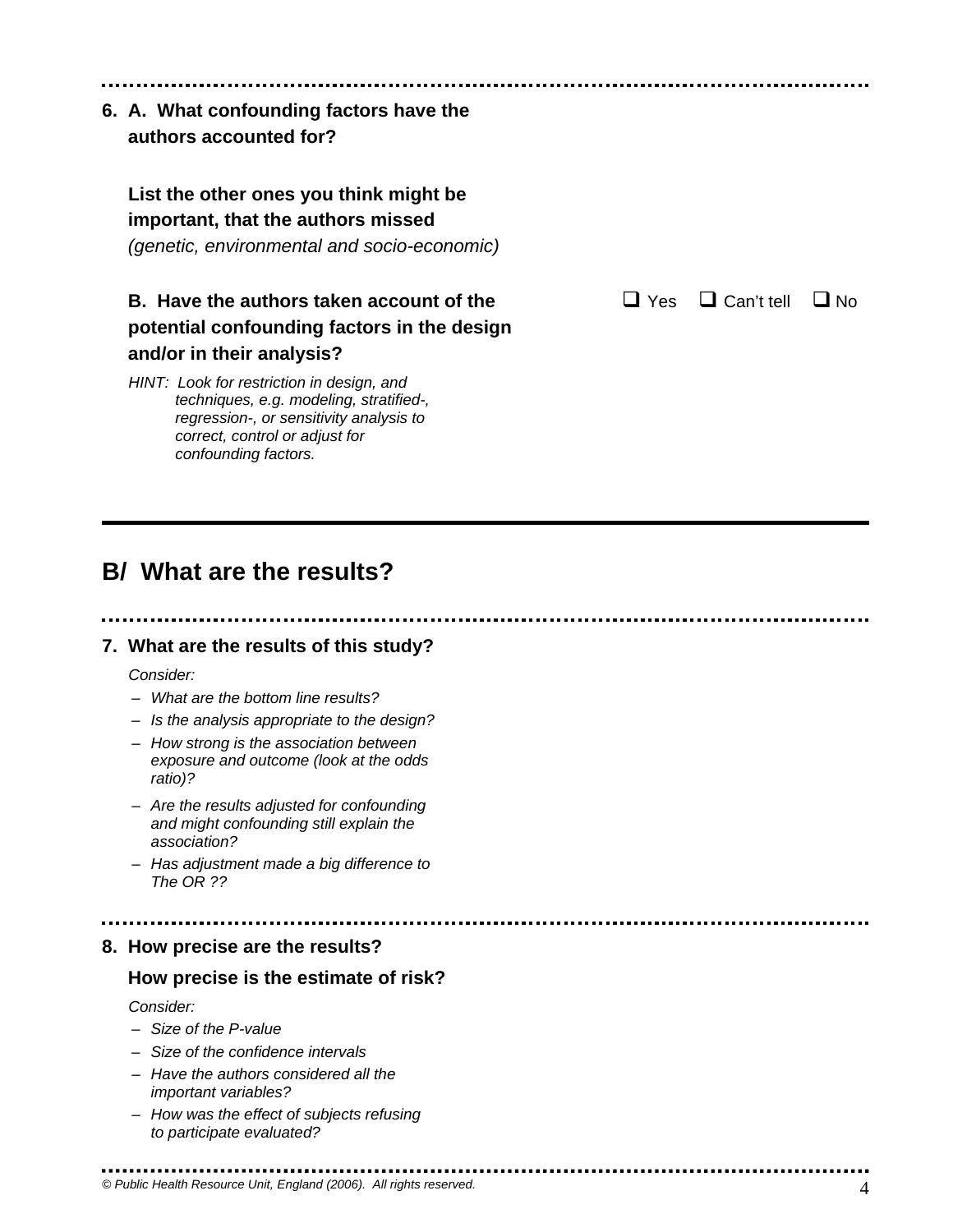### **6. A. What confounding factors have the authors accounted for?**

### **List the other ones you think might be important, that the authors missed**

 *(genetic, environmental and socio-economic)* 

### **B. Have the authors taken account of the Can't True Indian Can't tell I No. potential confounding factors in the design and/or in their analysis?**

*HINT: Look for restriction in design, and techniques, e.g. modeling, stratified-, regression-, or sensitivity analysis to correct, control or adjust for confounding factors.* 

# **B/ What are the results?**

### **7. What are the results of this study?**

*Consider:* 

- *What are the bottom line results?*
- *Is the analysis appropriate to the design?*
- *How strong is the association between exposure and outcome (look at the odds ratio)?*
- *Are the results adjusted for confounding and might confounding still explain the association?*
- *Has adjustment made a big difference to The OR ??*

# **8. How precise are the results?**

### **How precise is the estimate of risk?**

. . . . . . . . . . . . . . . . . . . .

*Consider:* 

– *Size of the P-value* 

..........................

- *Size of the confidence intervals*
- *Have the authors considered all the important variables?*
- *How was the effect of subjects refusing to participate evaluated?*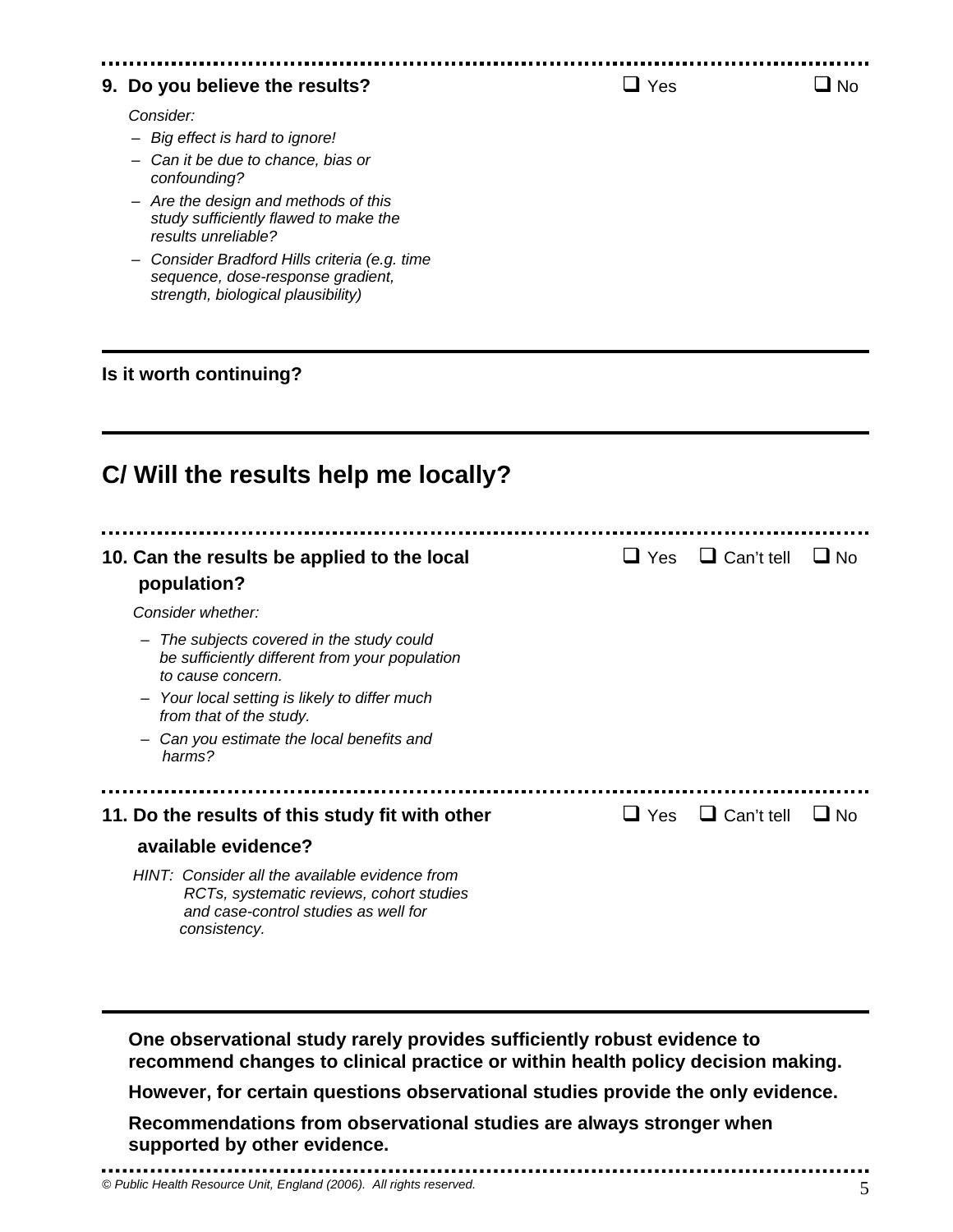#### **9. Do you believe the results?**  $\Box$  Yes  $\Box$  No

*Consider:* 

- *Big effect is hard to ignore!*
- *Can it be due to chance, bias or confounding?*
- *Are the design and methods of this study sufficiently flawed to make the results unreliable?*
- *Consider Bradford Hills criteria (e.g. time sequence, dose-response gradient, strength, biological plausibility)*

#### **Is it worth continuing?**

| C/ Will the results help me locally?                                                                                                               |              |                   |           |  |  |
|----------------------------------------------------------------------------------------------------------------------------------------------------|--------------|-------------------|-----------|--|--|
| 10. Can the results be applied to the local<br>population?                                                                                         | $\sqcup$ Yes | $\Box$ Can't tell | $\Box$ No |  |  |
| Consider whether:                                                                                                                                  |              |                   |           |  |  |
| The subjects covered in the study could<br>be sufficiently different from your population<br>to cause concern.                                     |              |                   |           |  |  |
| Your local setting is likely to differ much<br>from that of the study.                                                                             |              |                   |           |  |  |
| Can you estimate the local benefits and<br>harms?                                                                                                  |              |                   |           |  |  |
|                                                                                                                                                    |              |                   |           |  |  |
| 11. Do the results of this study fit with other                                                                                                    | $\Box$ Yes   | $\Box$ Can't tell | ∐ No      |  |  |
| available evidence?                                                                                                                                |              |                   |           |  |  |
| HINT: Consider all the available evidence from<br>RCTs, systematic reviews, cohort studies<br>and case-control studies as well for<br>consistency. |              |                   |           |  |  |

**One observational study rarely provides sufficiently robust evidence to recommend changes to clinical practice or within health policy decision making.** 

**However, for certain questions observational studies provide the only evidence.** 

**Recommendations from observational studies are always stronger when supported by other evidence.**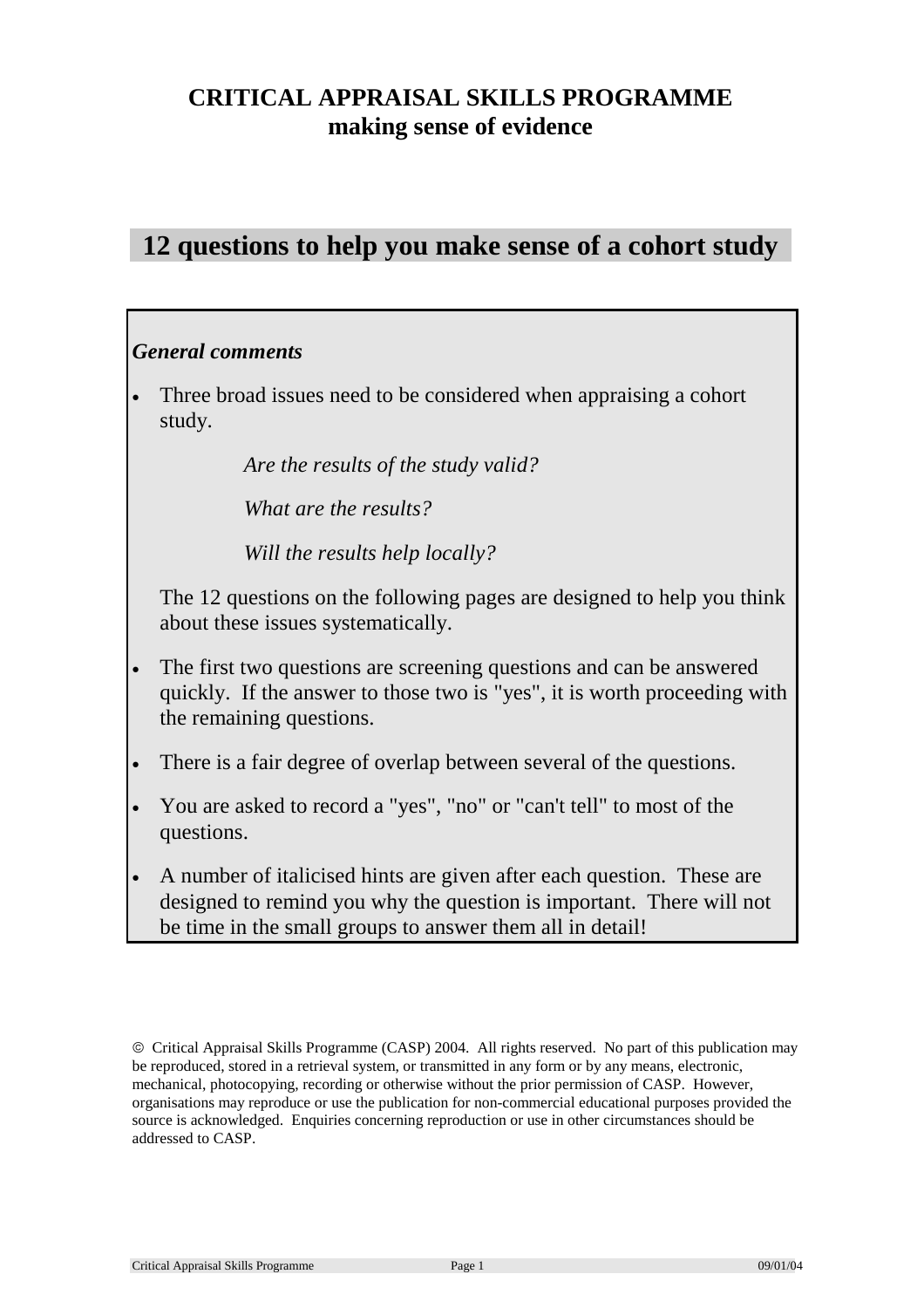# **CRITICAL APPRAISAL SKILLS PROGRAMME making sense of evidence**

# **12 questions to help you make sense of a cohort study**

### *General comments*

Three broad issues need to be considered when appraising a cohort study.

*Are the results of the study valid?* 

 *What are the results?* 

 *Will the results help locally?*

 The 12 questions on the following pages are designed to help you think about these issues systematically.

- The first two questions are screening questions and can be answered quickly. If the answer to those two is "yes", it is worth proceeding with the remaining questions.
- There is a fair degree of overlap between several of the questions.
- You are asked to record a "yes", "no" or "can't tell" to most of the questions.
- A number of italicised hints are given after each question. These are designed to remind you why the question is important. There will not be time in the small groups to answer them all in detail!

Critical Appraisal Skills Programme (CASP) 2004. All rights reserved. No part of this publication may be reproduced, stored in a retrieval system, or transmitted in any form or by any means, electronic, mechanical, photocopying, recording or otherwise without the prior permission of CASP. However, organisations may reproduce or use the publication for non-commercial educational purposes provided the source is acknowledged. Enquiries concerning reproduction or use in other circumstances should be addressed to CASP.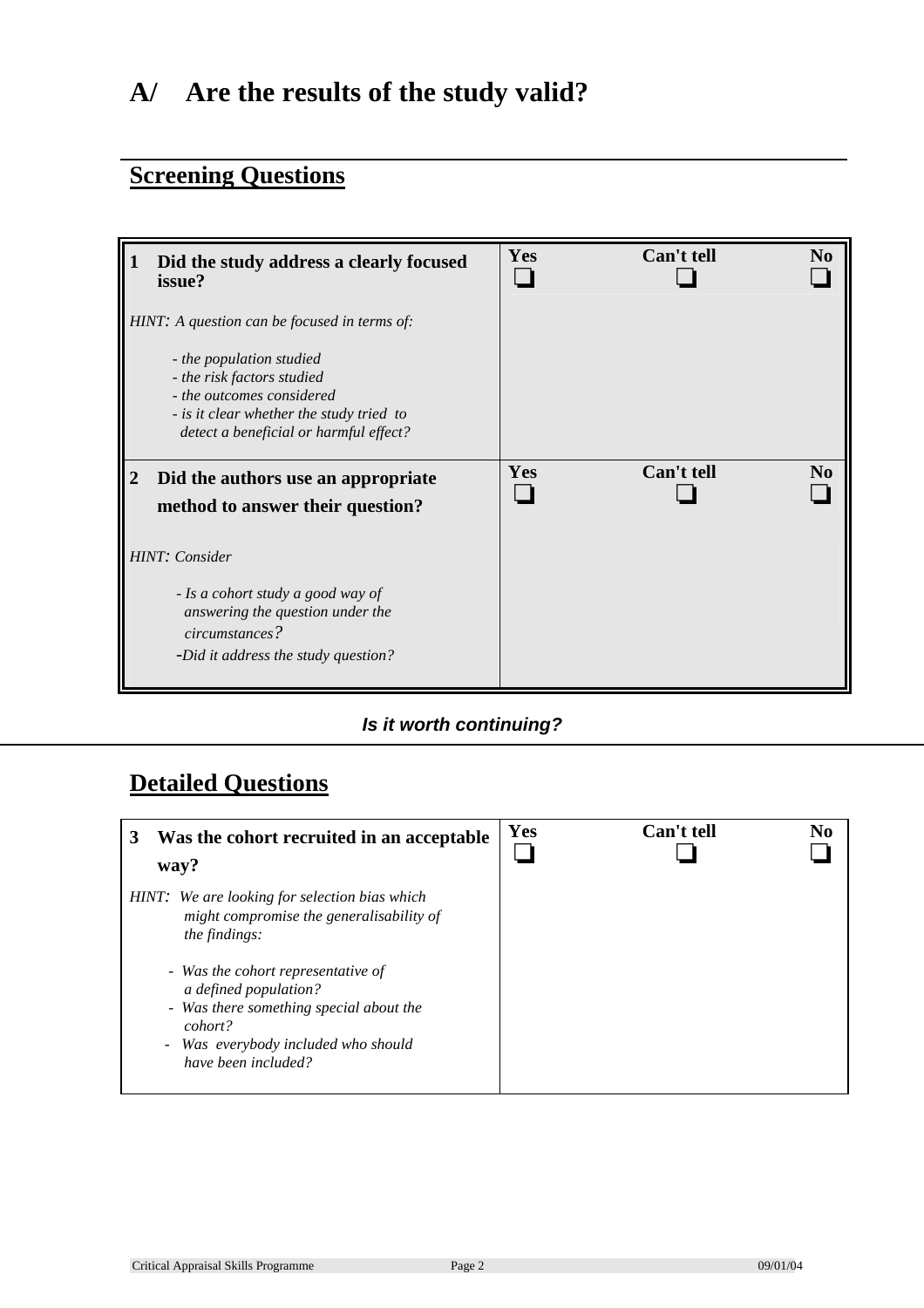# **A/ Are the results of the study valid?**

# **Screening Questions**

|   | Did the study address a clearly focused<br>issue?                                       | Yes | Can't tell | No             |
|---|-----------------------------------------------------------------------------------------|-----|------------|----------------|
|   | HINT: A question can be focused in terms of:<br>- the population studied                |     |            |                |
|   | - the risk factors studied<br>- the outcomes considered                                 |     |            |                |
|   | - is it clear whether the study tried to<br>detect a beneficial or harmful effect?      |     |            |                |
| 2 | Did the authors use an appropriate<br>method to answer their question?                  | Yes | Can't tell | N <sub>0</sub> |
|   | HINT: Consider                                                                          |     |            |                |
|   | - Is a cohort study a good way of<br>answering the question under the<br>circumstances? |     |            |                |
|   | -Did it address the study question?                                                     |     |            |                |

### *Is it worth continuing?*

# **Detailed Questions**

| Was the cohort recruited in an acceptable<br>way?                                                                                                                                                                                                                                             | Yes | Can't tell | No |
|-----------------------------------------------------------------------------------------------------------------------------------------------------------------------------------------------------------------------------------------------------------------------------------------------|-----|------------|----|
| HINT: We are looking for selection bias which<br>might compromise the generalisability of<br>the findings:<br>- Was the cohort representative of<br>a defined population?<br>- Was there something special about the<br>cohort?<br>- Was everybody included who should<br>have been included? |     |            |    |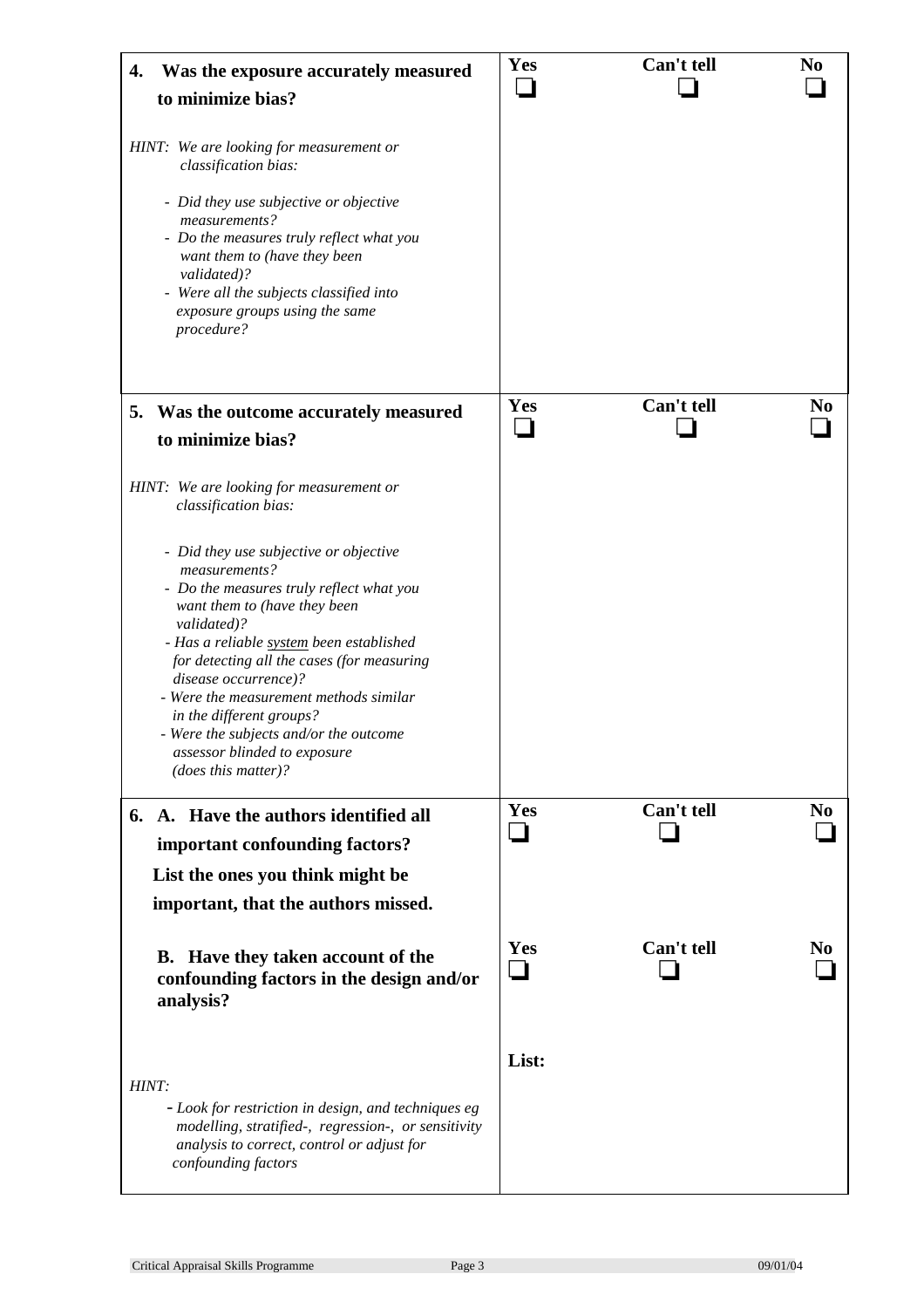| Was the exposure accurately measured<br>4.<br>to minimize bias?                                                                                                                                                                                                                                                                                                                                                                             | Yes      | Can't tell | N <sub>0</sub> |
|---------------------------------------------------------------------------------------------------------------------------------------------------------------------------------------------------------------------------------------------------------------------------------------------------------------------------------------------------------------------------------------------------------------------------------------------|----------|------------|----------------|
| HINT: We are looking for measurement or<br>classification bias:<br>- Did they use subjective or objective<br>measurements?<br>- Do the measures truly reflect what you<br>want them to (have they been<br>validated)?<br>- Were all the subjects classified into<br>exposure groups using the same<br>procedure?                                                                                                                            |          |            |                |
| Was the outcome accurately measured<br>5.<br>to minimize bias?                                                                                                                                                                                                                                                                                                                                                                              | Yes      | Can't tell | N <sub>0</sub> |
| HINT: We are looking for measurement or<br>classification bias:                                                                                                                                                                                                                                                                                                                                                                             |          |            |                |
| - Did they use subjective or objective<br>measurements?<br>- Do the measures truly reflect what you<br>want them to (have they been<br>validated)?<br>- Has a reliable system been established<br>for detecting all the cases (for measuring<br>disease occurrence)?<br>- Were the measurement methods similar<br>in the different groups?<br>- Were the subjects and/or the outcome<br>assessor blinded to exposure<br>(does this matter)? |          |            |                |
| 6. A. Have the authors identified all<br>important confounding factors?                                                                                                                                                                                                                                                                                                                                                                     | Yes      | Can't tell | N <sub>0</sub> |
| List the ones you think might be<br>important, that the authors missed.                                                                                                                                                                                                                                                                                                                                                                     |          |            |                |
| <b>B.</b> Have they taken account of the<br>confounding factors in the design and/or<br>analysis?                                                                                                                                                                                                                                                                                                                                           | Yes<br>┓ | Can't tell | N <sub>0</sub> |
| HINT:<br>- Look for restriction in design, and techniques eg<br>modelling, stratified-, regression-, or sensitivity<br>analysis to correct, control or adjust for<br>confounding factors                                                                                                                                                                                                                                                    | List:    |            |                |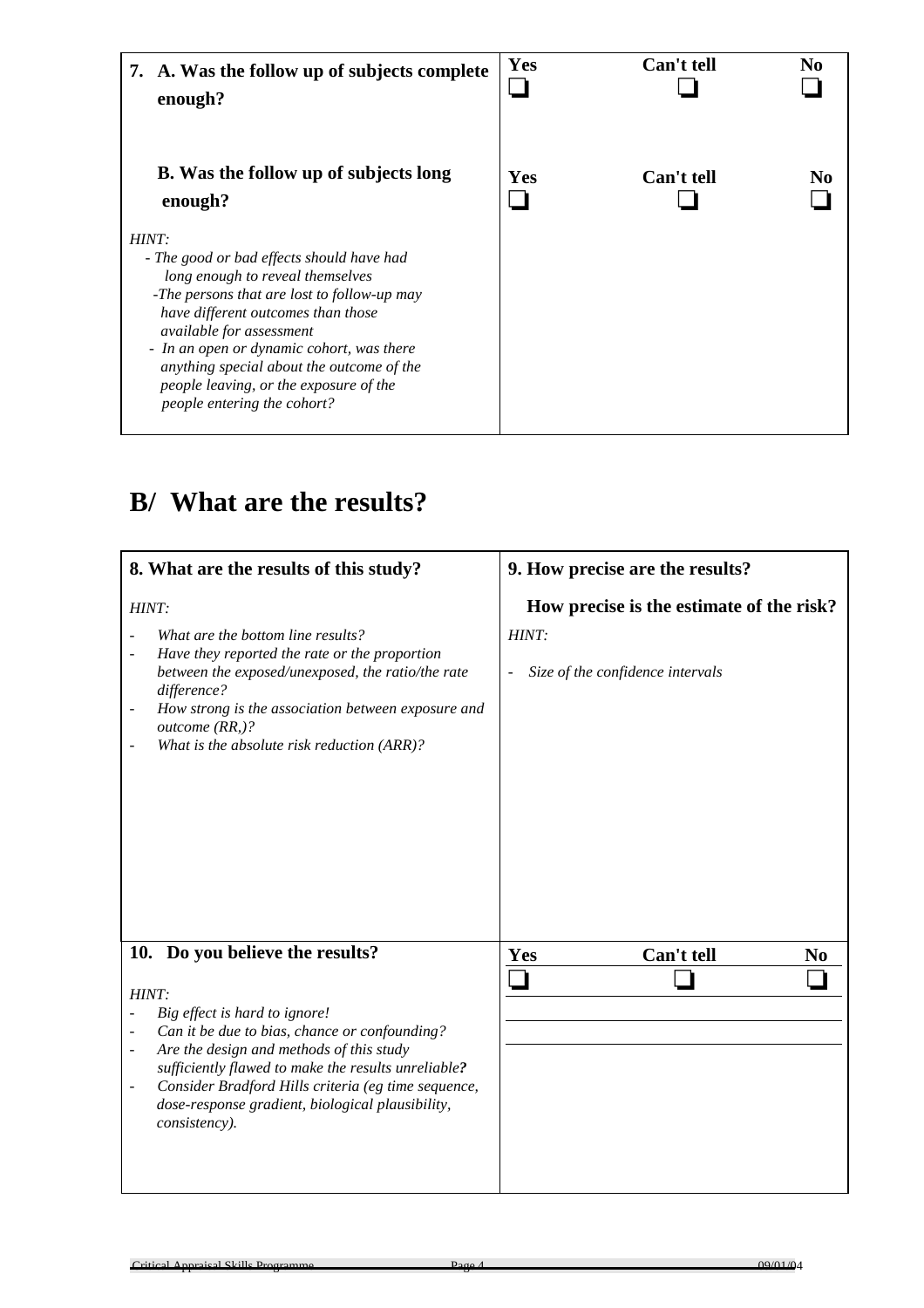| 7. A. Was the follow up of subjects complete<br>enough?                                                                                                                                                                                                                                                                                                                           | <b>Yes</b> | Can't tell | No  |
|-----------------------------------------------------------------------------------------------------------------------------------------------------------------------------------------------------------------------------------------------------------------------------------------------------------------------------------------------------------------------------------|------------|------------|-----|
| <b>B.</b> Was the follow up of subjects long<br>enough?                                                                                                                                                                                                                                                                                                                           | Yes        | Can't tell | No. |
| HINT:<br>- The good or bad effects should have had<br>long enough to reveal themselves<br>-The persons that are lost to follow-up may<br>have different outcomes than those<br><i>available for assessment</i><br>- In an open or dynamic cohort, was there<br>anything special about the outcome of the<br>people leaving, or the exposure of the<br>people entering the cohort? |            |            |     |

# **B/ What are the results?**

| 8. What are the results of this study?                                                                                                                                                                                                                                                                                                                                                                                   | 9. How precise are the results?                                                       |  |  |
|--------------------------------------------------------------------------------------------------------------------------------------------------------------------------------------------------------------------------------------------------------------------------------------------------------------------------------------------------------------------------------------------------------------------------|---------------------------------------------------------------------------------------|--|--|
| HINT:<br>What are the bottom line results?<br>Have they reported the rate or the proportion<br>between the exposed/unexposed, the ratio/the rate<br>difference?<br>How strong is the association between exposure and<br>outcome (RR,)?<br>What is the absolute risk reduction (ARR)?                                                                                                                                    | How precise is the estimate of the risk?<br>HINT:<br>Size of the confidence intervals |  |  |
| Do you believe the results?<br>10.<br>HINT:<br>Big effect is hard to ignore!<br>Can it be due to bias, chance or confounding?<br>Are the design and methods of this study<br>$\overline{\phantom{0}}$<br>sufficiently flawed to make the results unreliable?<br>Consider Bradford Hills criteria (eg time sequence,<br>$\qquad \qquad \blacksquare$<br>dose-response gradient, biological plausibility,<br>consistency). | Can't tell<br>Yes<br>N <sub>0</sub>                                                   |  |  |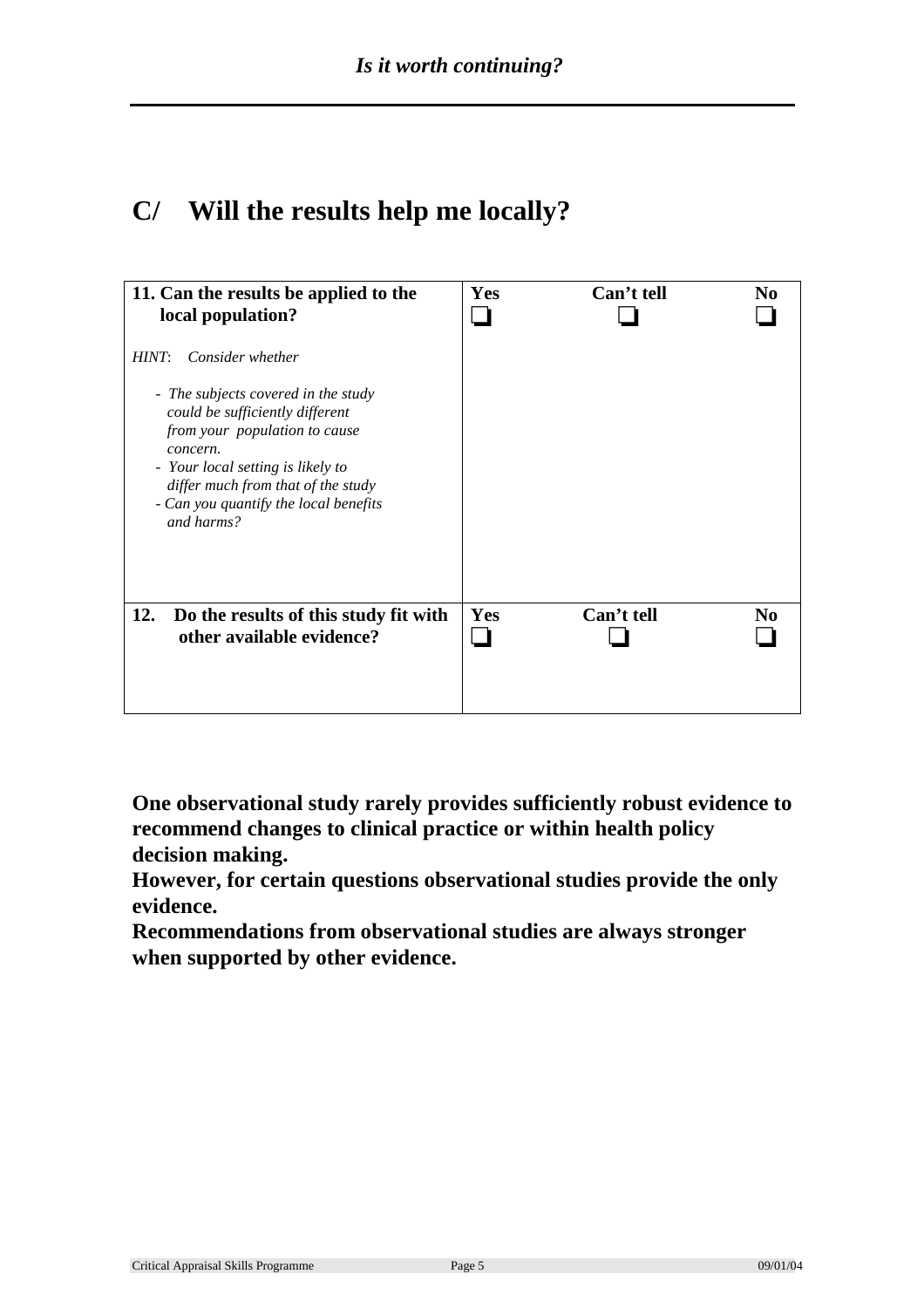# **C/ Will the results help me locally?**

| 11. Can the results be applied to the<br>local population?                                                                                                                                                                                                                         | Yes | Can't tell | No |
|------------------------------------------------------------------------------------------------------------------------------------------------------------------------------------------------------------------------------------------------------------------------------------|-----|------------|----|
| Consider whether<br>HINT:<br>- The subjects covered in the study<br>could be sufficiently different<br>from your population to cause<br>concern.<br>- Your local setting is likely to<br>differ much from that of the study<br>- Can you quantify the local benefits<br>and harms? |     |            |    |
| 12.<br>Do the results of this study fit with<br>other available evidence?                                                                                                                                                                                                          | Yes | Can't tell | No |

**One observational study rarely provides sufficiently robust evidence to recommend changes to clinical practice or within health policy decision making.** 

**However, for certain questions observational studies provide the only evidence.** 

**Recommendations from observational studies are always stronger when supported by other evidence.**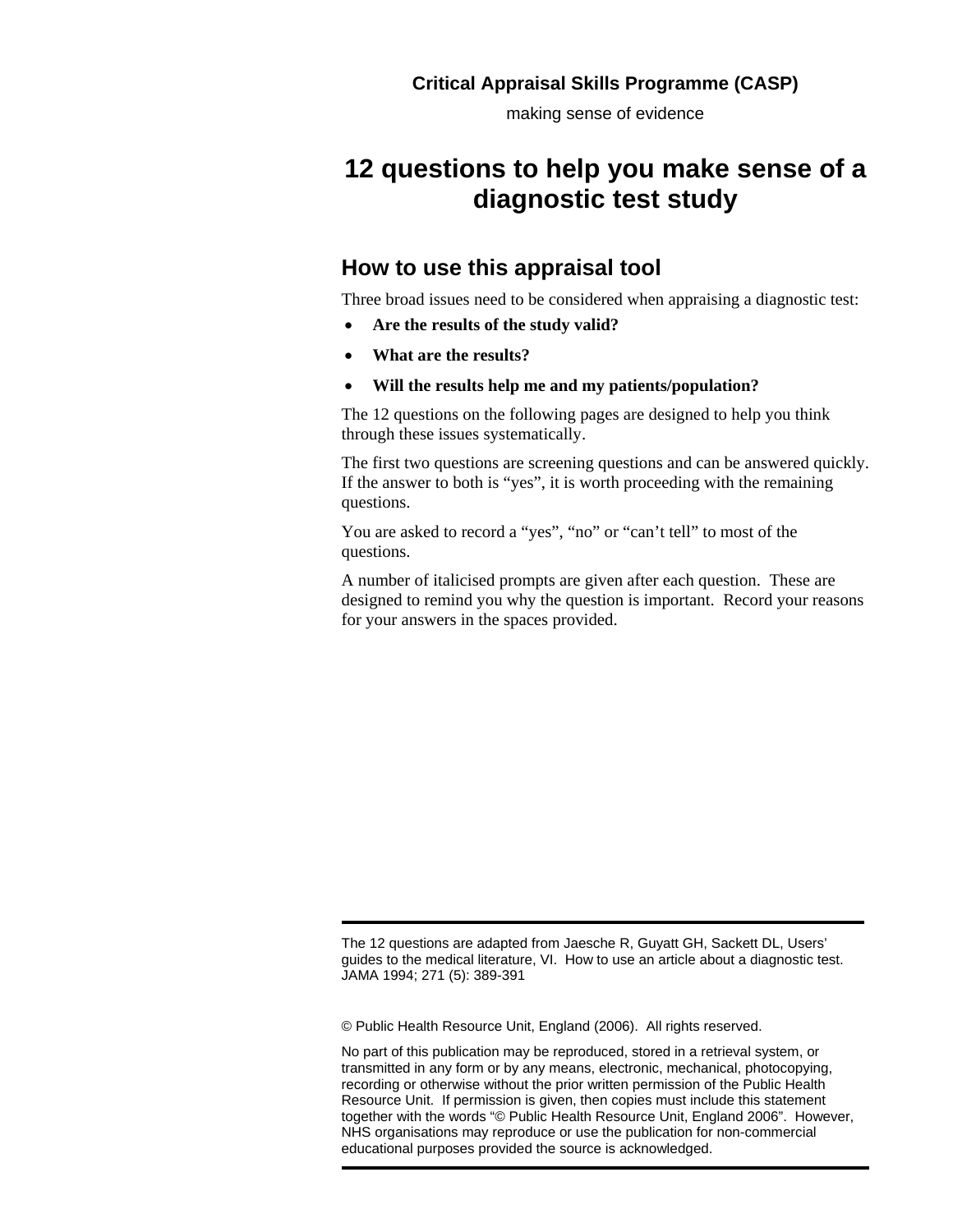making sense of evidence

# **12 questions to help you make sense of a diagnostic test study**

### **How to use this appraisal tool**

Three broad issues need to be considered when appraising a diagnostic test:

- **Are the results of the study valid?**
- **What are the results?**
- **Will the results help me and my patients/population?**

The 12 questions on the following pages are designed to help you think through these issues systematically.

The first two questions are screening questions and can be answered quickly. If the answer to both is "yes", it is worth proceeding with the remaining questions.

You are asked to record a "yes", "no" or "can't tell" to most of the questions.

A number of italicised prompts are given after each question. These are designed to remind you why the question is important. Record your reasons for your answers in the spaces provided.

The 12 questions are adapted from Jaesche R, Guyatt GH, Sackett DL, Users' guides to the medical literature, VI. How to use an article about a diagnostic test. JAMA 1994; 271 (5): 389-391

© Public Health Resource Unit, England (2006). All rights reserved.

No part of this publication may be reproduced, stored in a retrieval system, or transmitted in any form or by any means, electronic, mechanical, photocopying, recording or otherwise without the prior written permission of the Public Health Resource Unit. If permission is given, then copies must include this statement together with the words "© Public Health Resource Unit, England 2006". However, NHS organisations may reproduce or use the publication for non-commercial educational purposes provided the source is acknowledged.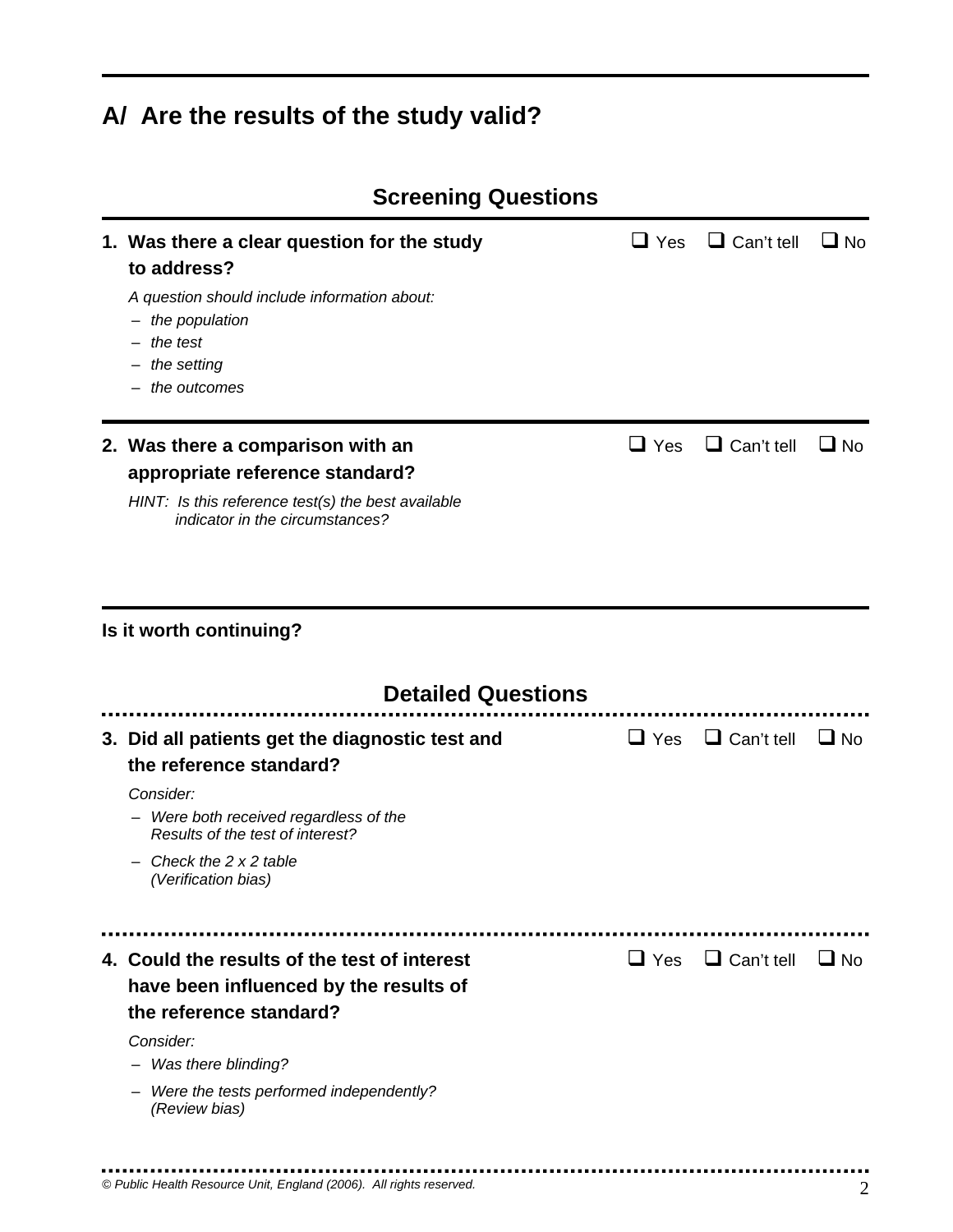# **A/ Are the results of the study valid?**

| <b>Screening Questions</b>                                                                                                                                                                                                 |            |                              |           |
|----------------------------------------------------------------------------------------------------------------------------------------------------------------------------------------------------------------------------|------------|------------------------------|-----------|
| 1. Was there a clear question for the study<br>to address?<br>A question should include information about:<br>the population<br>$-$<br>$-$ the test<br>$-$ the setting<br>$-$ the outcomes                                 | $\Box$ Yes | $\Box$ Can't tell            | $\Box$ No |
| 2. Was there a comparison with an<br>appropriate reference standard?<br>HINT: Is this reference test(s) the best available<br>indicator in the circumstances?                                                              | $\Box$ Yes | $\Box$ Can't tell            | $\Box$ No |
| Is it worth continuing?<br><b>Detailed Questions</b>                                                                                                                                                                       |            |                              |           |
| 3. Did all patients get the diagnostic test and<br>the reference standard?<br>Consider:<br>Were both received regardless of the<br>Results of the test of interest?<br>Check the $2 \times 2$ table<br>(Verification bias) | $\Box$ Yes | $\Box$ Can't tell            | $\Box$ No |
| 4. Could the results of the test of interest<br>have been influenced by the results of<br>the reference standard?<br>Consider:<br>- Was there blinding?<br>Were the tests performed independently?<br>(Review bias)        |            | $\Box$ Yes $\Box$ Can't tell | $\Box$ No |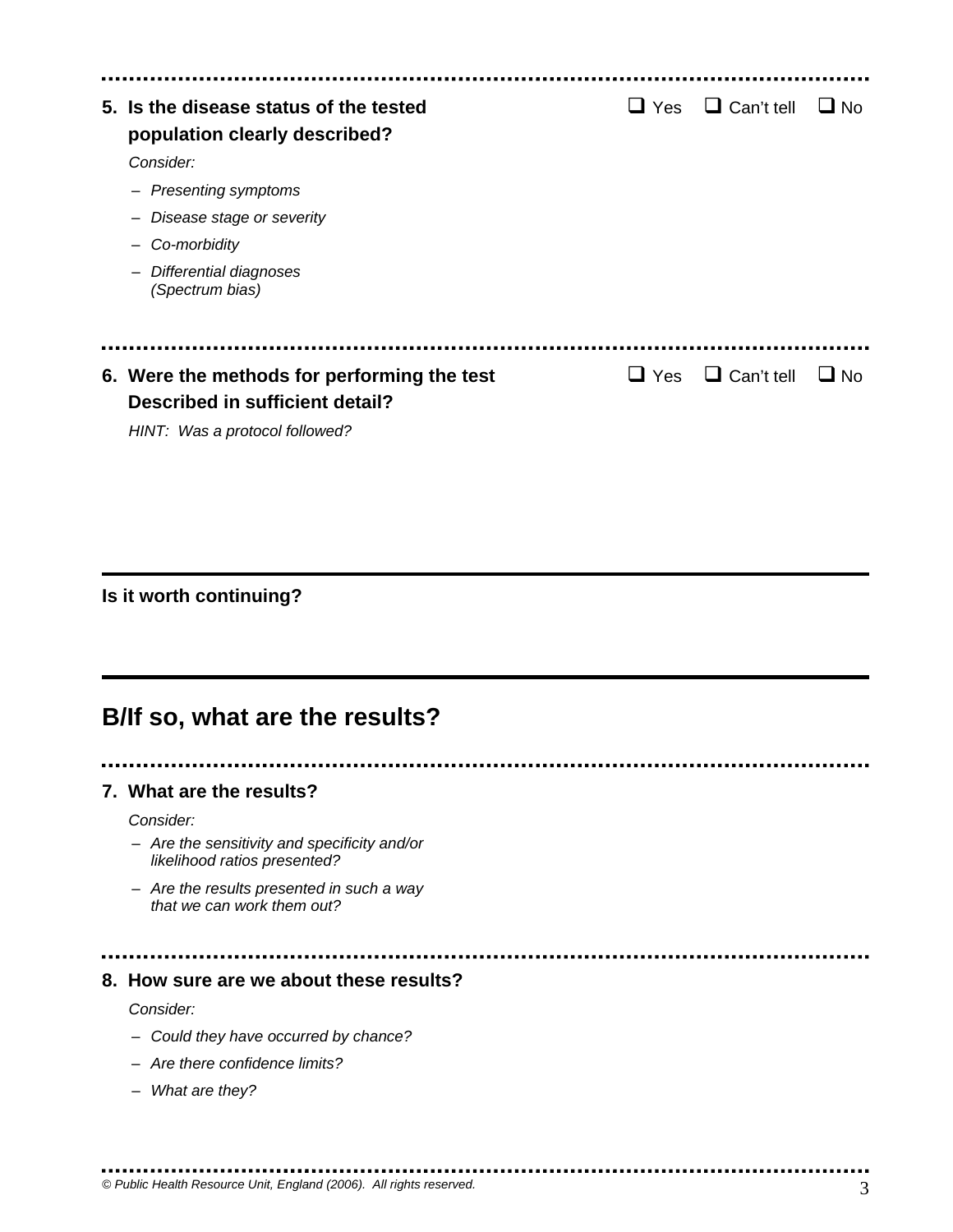| 5. Is the disease status of the tested<br>population clearly described? | $\sqcup$ Yes | $\Box$ Can't tell | ∐ No      |
|-------------------------------------------------------------------------|--------------|-------------------|-----------|
| Consider:                                                               |              |                   |           |
| - Presenting symptoms                                                   |              |                   |           |
| Disease stage or severity                                               |              |                   |           |
| Co-morbidity                                                            |              |                   |           |
| Differential diagnoses<br>$\overline{\phantom{m}}$<br>(Spectrum bias)   |              |                   |           |
|                                                                         |              |                   |           |
| 6. Were the methods for performing the test                             | Yes          | $\Box$ Can't tell | $\Box$ No |
| <b>Described in sufficient detail?</b>                                  |              |                   |           |
| HINT: Was a protocol followed?                                          |              |                   |           |

### **Is it worth continuing?**

# **B/If so, what are the results?**

### **7. What are the results?**

*Consider:* 

- *Are the sensitivity and specificity and/or likelihood ratios presented?*
- *Are the results presented in such a way that we can work them out?*

#### **8. How sure are we about these results?**

*Consider:* 

- *Could they have occurred by chance?*
- *Are there confidence limits?*

................................

– *What are they?*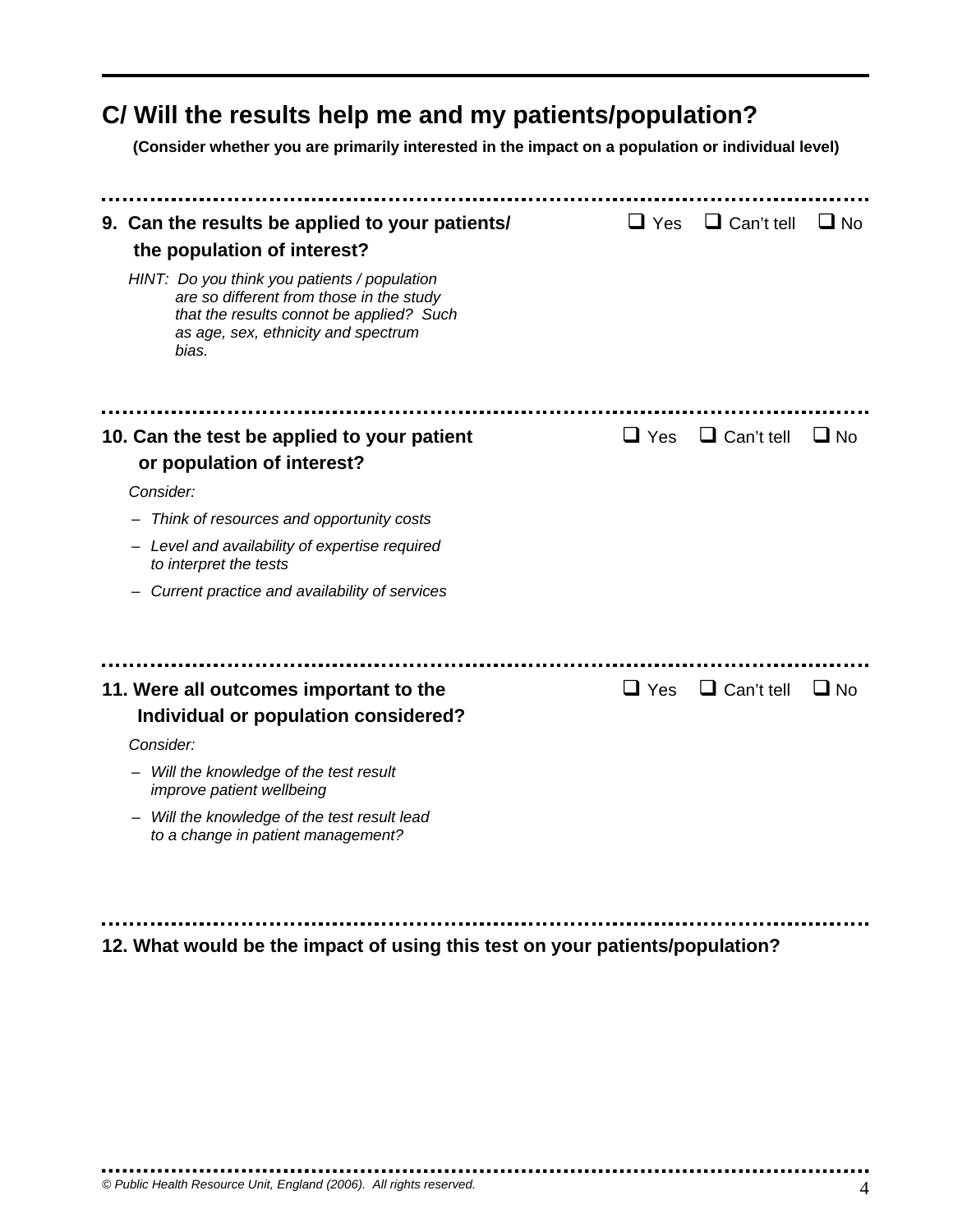# **C/ Will the results help me and my patients/population?**

**(Consider whether you are primarily interested in the impact on a population or individual level)** 

| 9. Can the results be applied to your patients/<br>the population of interest?                                                                                                       | $\sqcup$ Yes | $\Box$ Can't tell | $\Box$ No |
|--------------------------------------------------------------------------------------------------------------------------------------------------------------------------------------|--------------|-------------------|-----------|
| HINT: Do you think you patients / population<br>are so different from those in the study<br>that the results connot be applied? Such<br>as age, sex, ethnicity and spectrum<br>bias. |              |                   |           |
|                                                                                                                                                                                      |              |                   |           |
| 10. Can the test be applied to your patient<br>or population of interest?                                                                                                            | $\Box$ Yes   | $\Box$ Can't tell | $\Box$ No |
| Consider:                                                                                                                                                                            |              |                   |           |
| Think of resources and opportunity costs                                                                                                                                             |              |                   |           |
| - Level and availability of expertise required<br>to interpret the tests                                                                                                             |              |                   |           |
| Current practice and availability of services                                                                                                                                        |              |                   |           |
|                                                                                                                                                                                      |              |                   |           |
| 11. Were all outcomes important to the<br>Individual or population considered?                                                                                                       | $\Box$ Yes   | $\Box$ Can't tell | $\Box$ No |
| Consider:                                                                                                                                                                            |              |                   |           |
| Will the knowledge of the test result<br>improve patient wellbeing                                                                                                                   |              |                   |           |
| Will the knowledge of the test result lead<br>to a change in patient management?                                                                                                     |              |                   |           |
|                                                                                                                                                                                      |              |                   |           |
|                                                                                                                                                                                      |              |                   |           |

**12. What would be the impact of using this test on your patients/population?**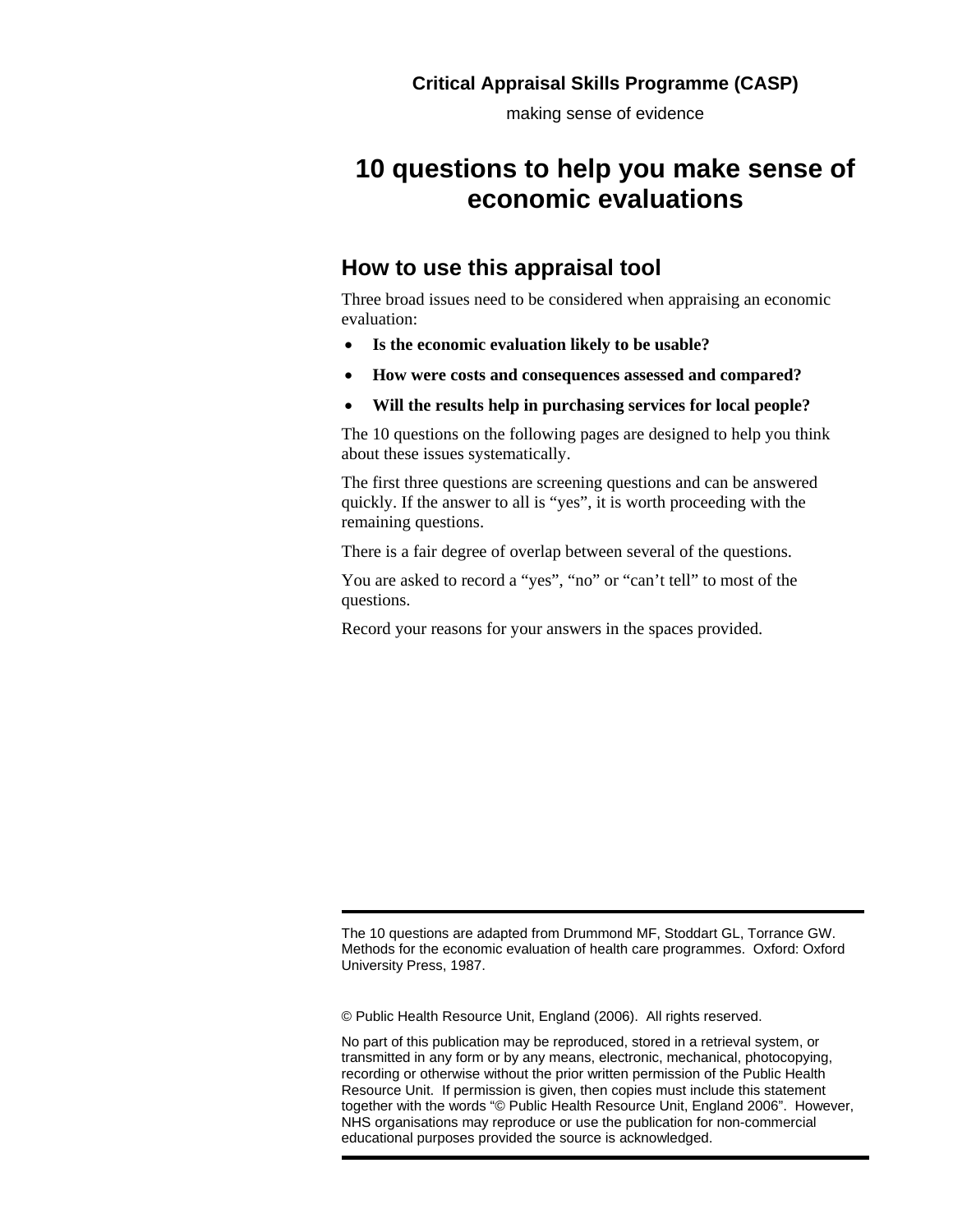making sense of evidence

# **10 questions to help you make sense of economic evaluations**

### **How to use this appraisal tool**

Three broad issues need to be considered when appraising an economic evaluation:

- **Is the economic evaluation likely to be usable?**
- **How were costs and consequences assessed and compared?**
- **Will the results help in purchasing services for local people?**

The 10 questions on the following pages are designed to help you think about these issues systematically.

The first three questions are screening questions and can be answered quickly. If the answer to all is "yes", it is worth proceeding with the remaining questions.

There is a fair degree of overlap between several of the questions.

You are asked to record a "yes", "no" or "can't tell" to most of the questions.

Record your reasons for your answers in the spaces provided.

The 10 questions are adapted from Drummond MF, Stoddart GL, Torrance GW. Methods for the economic evaluation of health care programmes. Oxford: Oxford University Press, 1987.

© Public Health Resource Unit, England (2006). All rights reserved.

No part of this publication may be reproduced, stored in a retrieval system, or transmitted in any form or by any means, electronic, mechanical, photocopying, recording or otherwise without the prior written permission of the Public Health Resource Unit. If permission is given, then copies must include this statement together with the words "© Public Health Resource Unit, England 2006". However, NHS organisations may reproduce or use the publication for non-commercial educational purposes provided the source is acknowledged.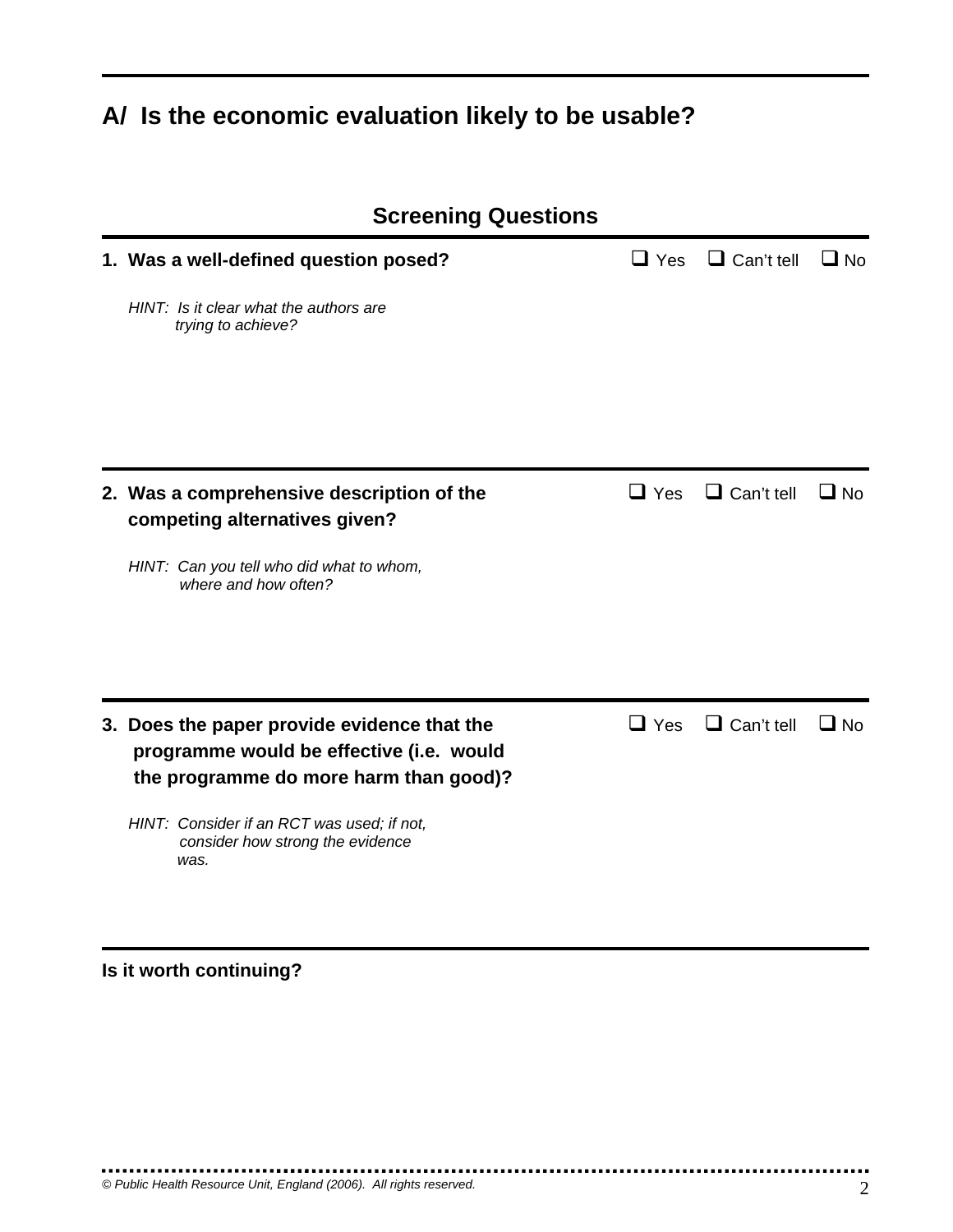# **A/ Is the economic evaluation likely to be usable?**

| <b>Screening Questions</b>                                                                                                        |              |                   |           |
|-----------------------------------------------------------------------------------------------------------------------------------|--------------|-------------------|-----------|
| 1. Was a well-defined question posed?                                                                                             | $\Box$ Yes   | $\Box$ Can't tell | $\Box$ No |
| HINT: Is it clear what the authors are<br>trying to achieve?                                                                      |              |                   |           |
|                                                                                                                                   |              |                   |           |
| 2. Was a comprehensive description of the<br>competing alternatives given?                                                        | $\Box$ Yes   | $\Box$ Can't tell | $\Box$ No |
| HINT: Can you tell who did what to whom,<br>where and how often?                                                                  |              |                   |           |
| 3. Does the paper provide evidence that the<br>programme would be effective (i.e. would<br>the programme do more harm than good)? | $\sqcup$ Yes | $\Box$ Can't tell | ∐ No      |
| HINT: Consider if an RCT was used; if not,<br>consider how strong the evidence<br>was.                                            |              |                   |           |

# **Is it worth continuing?**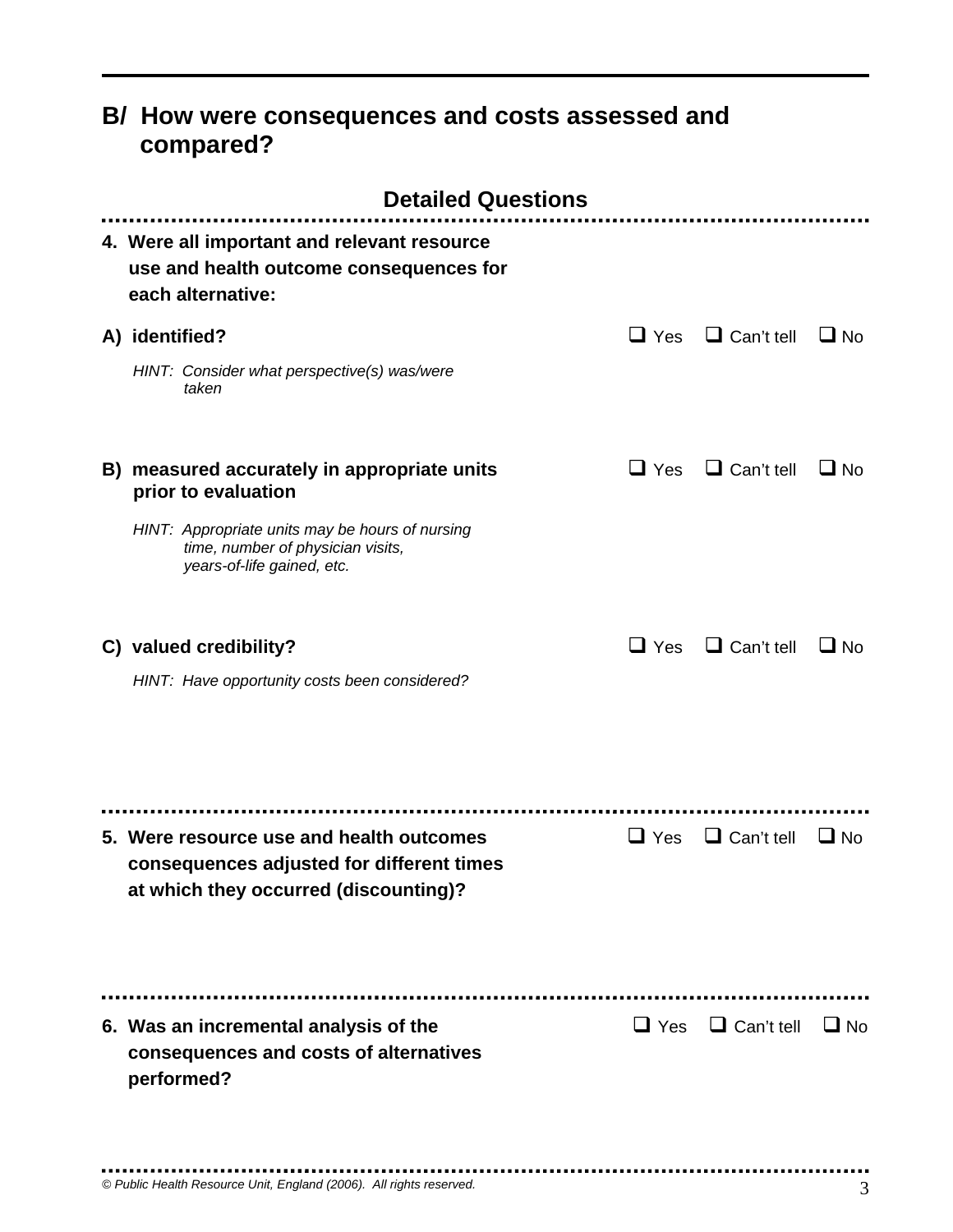## **B/ How were consequences and costs assessed and compared?**

| <b>Detailed Questions</b>                                                                                                                                                                |              |                   |           |
|------------------------------------------------------------------------------------------------------------------------------------------------------------------------------------------|--------------|-------------------|-----------|
| 4. Were all important and relevant resource<br>use and health outcome consequences for<br>each alternative:                                                                              |              |                   |           |
| A) identified?<br>HINT: Consider what perspective(s) was/were<br>taken                                                                                                                   | $\Box$ Yes   | $\Box$ Can't tell | $\Box$ No |
| B) measured accurately in appropriate units<br>prior to evaluation<br>HINT: Appropriate units may be hours of nursing<br>time, number of physician visits,<br>years-of-life gained, etc. | $\Box$ Yes   | $\Box$ Can't tell | $\Box$ No |
| C) valued credibility?<br>HINT: Have opportunity costs been considered?                                                                                                                  | $\sqcup$ Yes | $\Box$ Can't tell | $\Box$ No |
| 5. Were resource use and health outcomes<br>consequences adjusted for different times<br>at which they occurred (discounting)?                                                           | $\Box$ Yes   | $\Box$ Can't tell | $\Box$ No |
| 6. Was an incremental analysis of the<br>consequences and costs of alternatives<br>performed?                                                                                            | $\Box$ Yes   | $\Box$ Can't tell | $\Box$ No |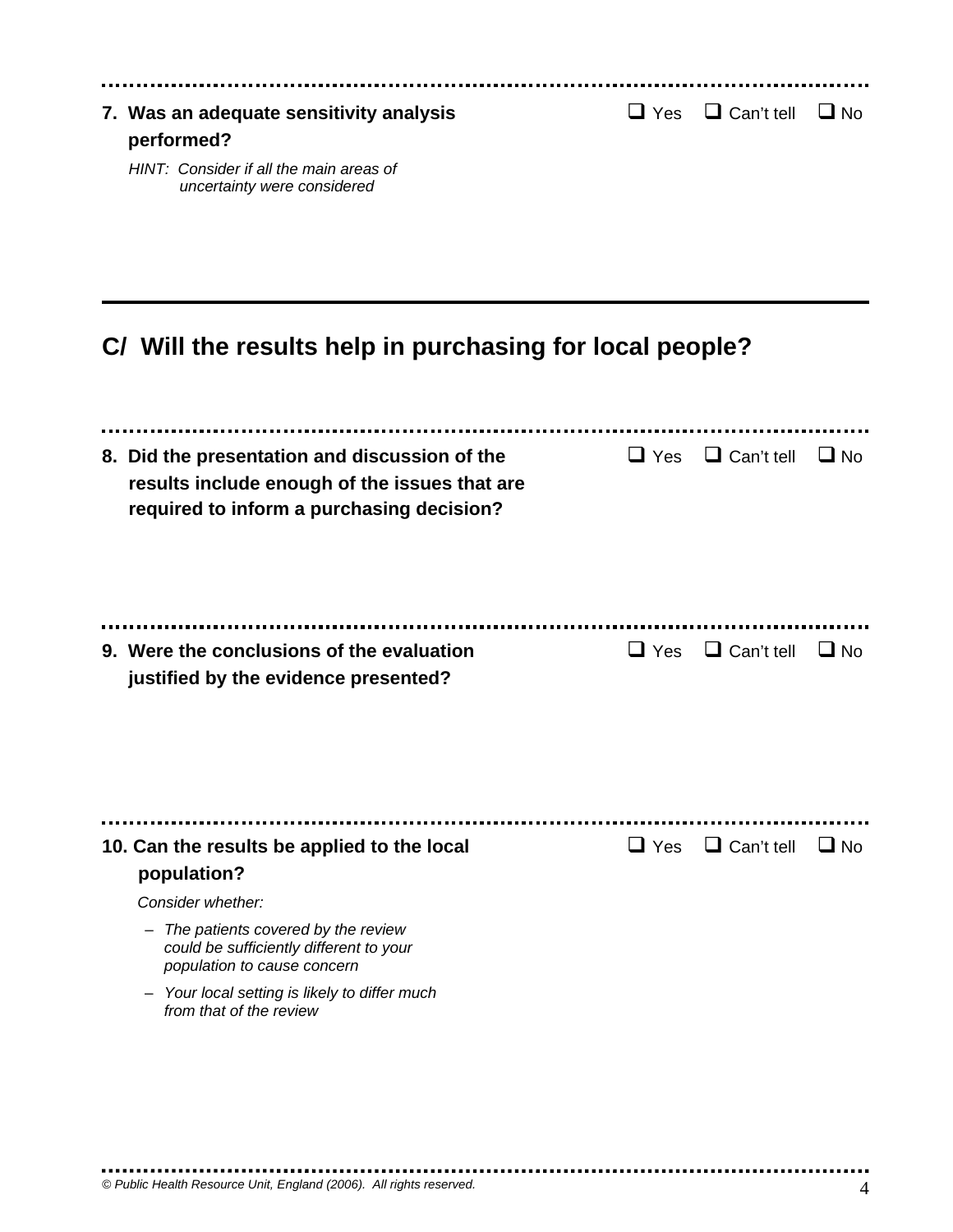| 7. Was an adequate sensitivity analysis<br>performed?                  | $\Box$ Yes $\Box$ Can't tell $\Box$ No |  |
|------------------------------------------------------------------------|----------------------------------------|--|
| HINT: Consider if all the main areas of<br>uncertainty were considered |                                        |  |

# **C/ Will the results help in purchasing for local people?**

| $\Box$ Yes   | $\Box$ Can't tell | $\Box$ No         |
|--------------|-------------------|-------------------|
| $\sqcup$ Yes | $\Box$ Can't tell | $\Box$ No         |
| $\Box$ Yes   |                   | $\Box$ No         |
|              |                   | $\Box$ Can't tell |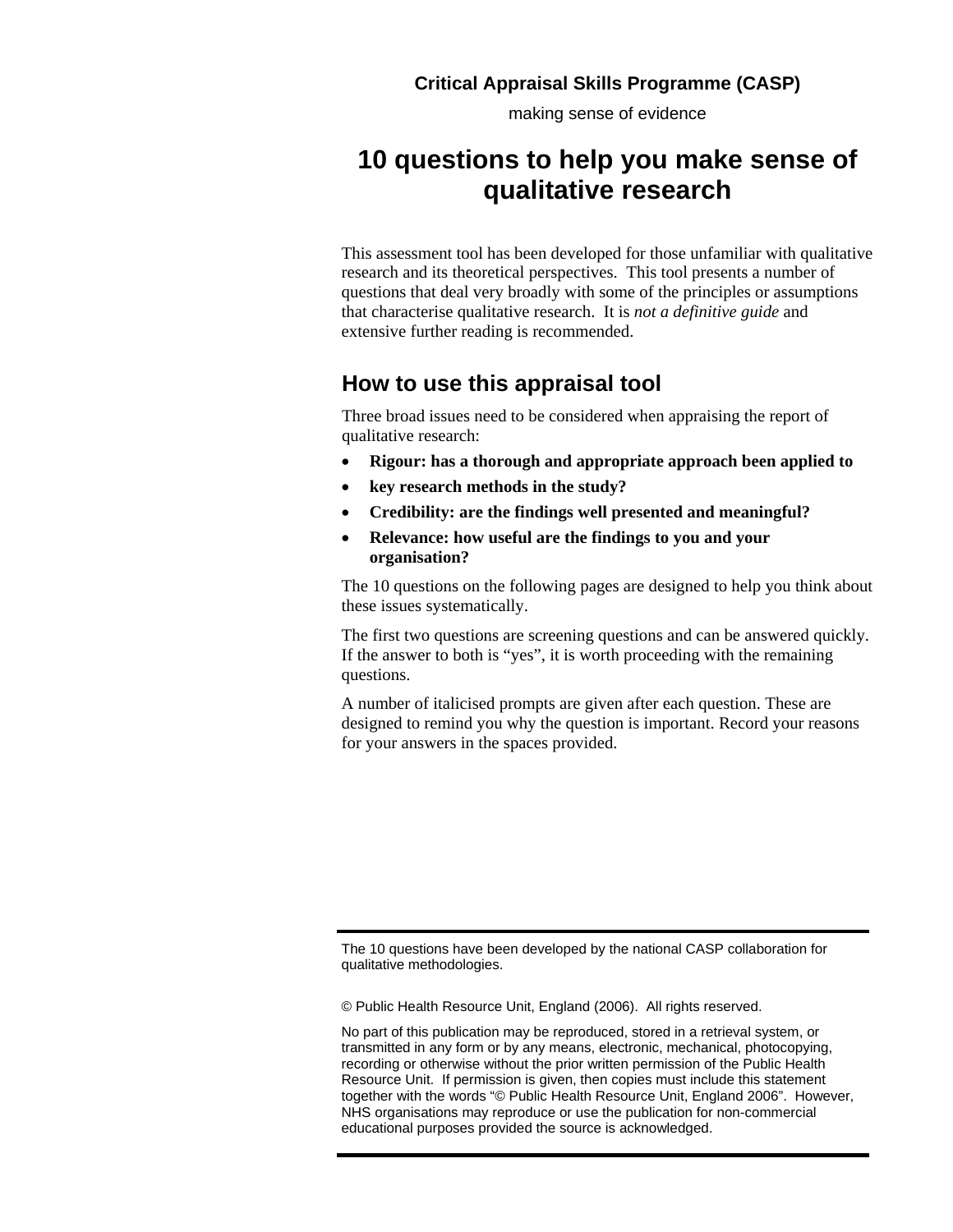making sense of evidence

# **10 questions to help you make sense of qualitative research**

This assessment tool has been developed for those unfamiliar with qualitative research and its theoretical perspectives. This tool presents a number of questions that deal very broadly with some of the principles or assumptions that characterise qualitative research. It is *not a definitive guide* and extensive further reading is recommended.

### **How to use this appraisal tool**

Three broad issues need to be considered when appraising the report of qualitative research:

- **Rigour: has a thorough and appropriate approach been applied to**
- **key research methods in the study?**
- **Credibility: are the findings well presented and meaningful?**
- **Relevance: how useful are the findings to you and your organisation?**

The 10 questions on the following pages are designed to help you think about these issues systematically.

The first two questions are screening questions and can be answered quickly. If the answer to both is "yes", it is worth proceeding with the remaining questions.

A number of italicised prompts are given after each question. These are designed to remind you why the question is important. Record your reasons for your answers in the spaces provided.

The 10 questions have been developed by the national CASP collaboration for qualitative methodologies.

© Public Health Resource Unit, England (2006). All rights reserved.

No part of this publication may be reproduced, stored in a retrieval system, or transmitted in any form or by any means, electronic, mechanical, photocopying, recording or otherwise without the prior written permission of the Public Health Resource Unit. If permission is given, then copies must include this statement together with the words "© Public Health Resource Unit, England 2006". However, NHS organisations may reproduce or use the publication for non-commercial educational purposes provided the source is acknowledged.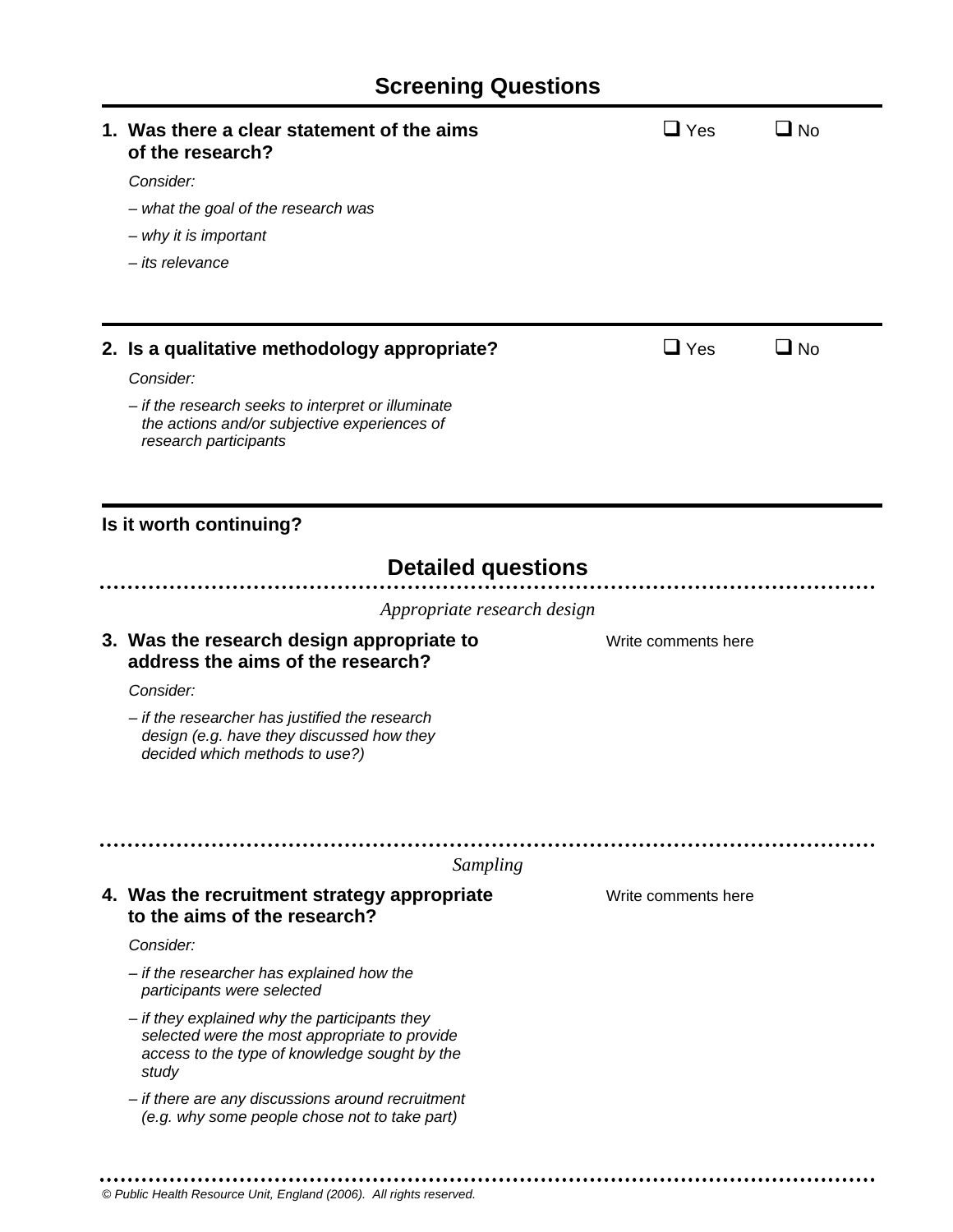| 1. Was there a clear statement of the aims<br>of the research?                                                                                           | $\Box$ Yes          | No <b>L</b>  |
|----------------------------------------------------------------------------------------------------------------------------------------------------------|---------------------|--------------|
| Consider:                                                                                                                                                |                     |              |
| - what the goal of the research was                                                                                                                      |                     |              |
| - why it is important                                                                                                                                    |                     |              |
| - its relevance                                                                                                                                          |                     |              |
|                                                                                                                                                          |                     |              |
| 2. Is a qualitative methodology appropriate?                                                                                                             | $\Box$ Yes          | $\square$ No |
| Consider:                                                                                                                                                |                     |              |
| - if the research seeks to interpret or illuminate<br>the actions and/or subjective experiences of<br>research participants                              |                     |              |
| Is it worth continuing?                                                                                                                                  |                     |              |
| <b>Detailed questions</b>                                                                                                                                |                     |              |
| Appropriate research design                                                                                                                              |                     |              |
| 3. Was the research design appropriate to<br>address the aims of the research?                                                                           | Write comments here |              |
| Consider:                                                                                                                                                |                     |              |
| - if the researcher has justified the research<br>design (e.g. have they discussed how they<br>decided which methods to use?)                            |                     |              |
| Sampling                                                                                                                                                 |                     |              |
| 4. Was the recruitment strategy appropriate                                                                                                              | Write comments here |              |
| to the aims of the research?                                                                                                                             |                     |              |
| Consider:                                                                                                                                                |                     |              |
| - if the researcher has explained how the<br>participants were selected                                                                                  |                     |              |
| - if they explained why the participants they<br>selected were the most appropriate to provide<br>access to the type of knowledge sought by the<br>study |                     |              |
| - if there are any discussions around recruitment<br>(e.g. why some people chose not to take part)                                                       |                     |              |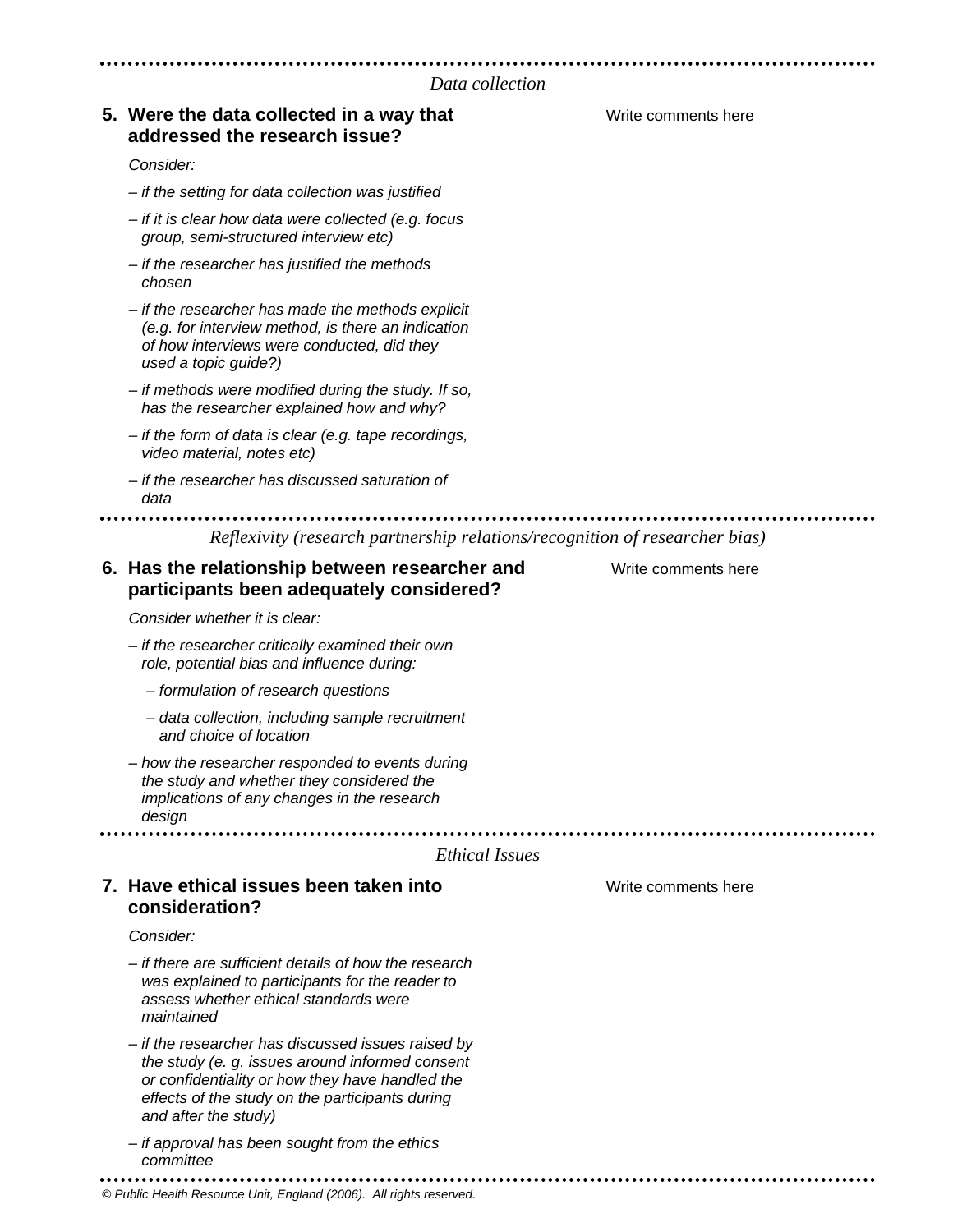### **5. Were the data collected in a way that The Comments of the Comments here addressed the research issue?**

#### *Consider:*

- *if the setting for data collection was justified*
- *if it is clear how data were collected (e.g. focus group, semi-structured interview etc)*
- *if the researcher has justified the methods chosen*
- *if the researcher has made the methods explicit (e.g. for interview method, is there an indication of how interviews were conducted, did they used a topic guide?)*
- *if methods were modified during the study. If so, has the researcher explained how and why?*
- *if the form of data is clear (e.g. tape recordings, video material, notes etc)*
- *if the researcher has discussed saturation of data*

*Reflexivity (research partnership relations/recognition of researcher bias)* 

### **6. Has the relationship between researcher and Write comments here participants been adequately considered?**

*Consider whether it is clear:* 

- *if the researcher critically examined their own role, potential bias and influence during:* 
	- *formulation of research questions*
	- *data collection, including sample recruitment and choice of location*
- *how the researcher responded to events during the study and whether they considered the implications of any changes in the research design*

#### *Ethical Issues*

### **7. Have ethical issues been taken into The Comments of the Comments here consideration?**

#### *Consider:*

- *if there are sufficient details of how the research was explained to participants for the reader to assess whether ethical standards were maintained*
- *if the researcher has discussed issues raised by the study (e. g. issues around informed consent or confidentiality or how they have handled the effects of the study on the participants during and after the study)*
- *if approval has been sought from the ethics committee*
- *© Public Health Resource Unit, England (2006). All rights reserved.*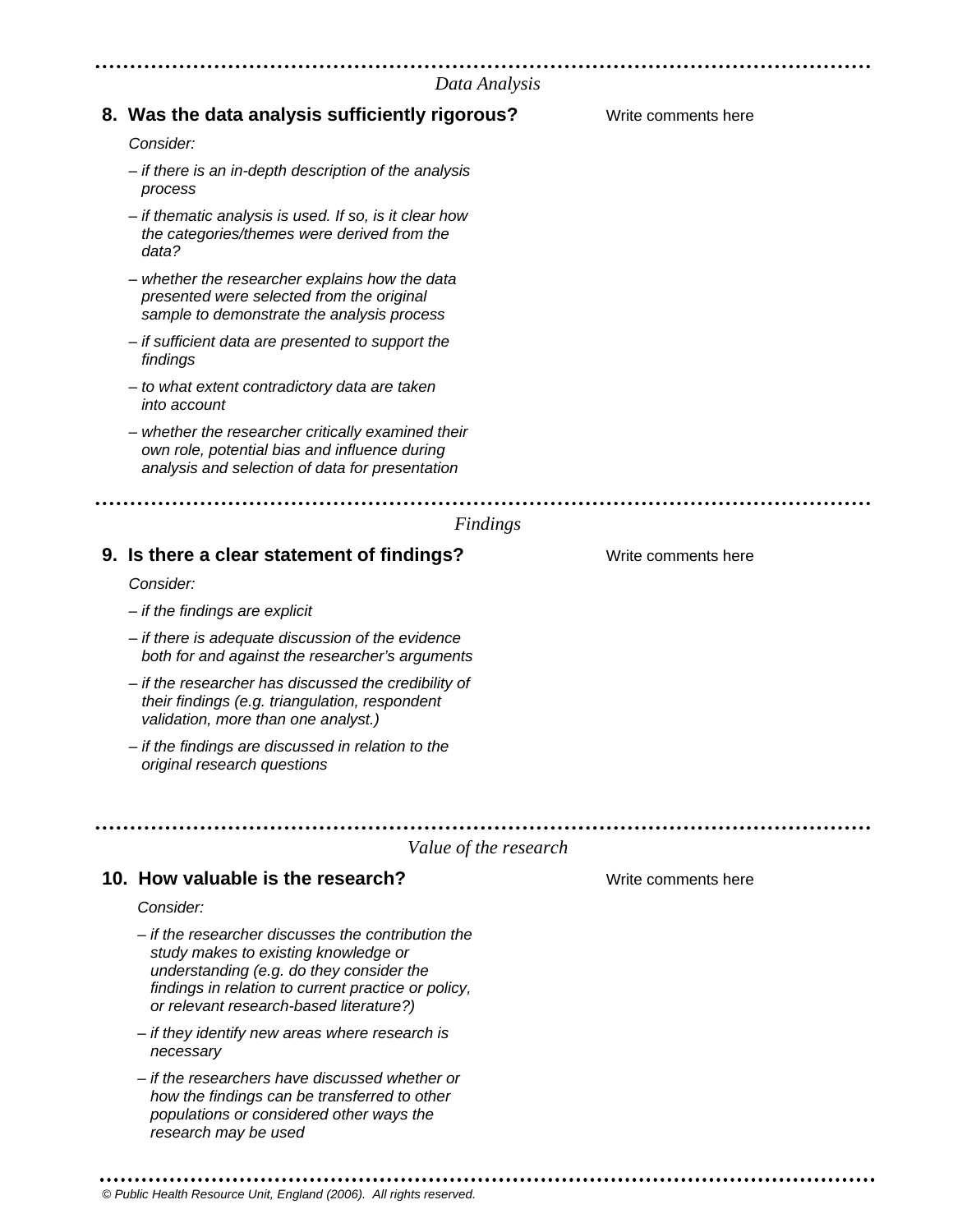#### *Data Analysis*

| риш Анигуму                                                                                                                                                                                                                              |                     |
|------------------------------------------------------------------------------------------------------------------------------------------------------------------------------------------------------------------------------------------|---------------------|
| 8. Was the data analysis sufficiently rigorous?                                                                                                                                                                                          | Write comments here |
| Consider:                                                                                                                                                                                                                                |                     |
| - if there is an in-depth description of the analysis<br>process                                                                                                                                                                         |                     |
| - if thematic analysis is used. If so, is it clear how<br>the categories/themes were derived from the<br>data?                                                                                                                           |                     |
| - whether the researcher explains how the data<br>presented were selected from the original<br>sample to demonstrate the analysis process                                                                                                |                     |
| - if sufficient data are presented to support the<br>findings                                                                                                                                                                            |                     |
| - to what extent contradictory data are taken<br>into account                                                                                                                                                                            |                     |
| - whether the researcher critically examined their<br>own role, potential bias and influence during<br>analysis and selection of data for presentation                                                                                   |                     |
|                                                                                                                                                                                                                                          |                     |
| Findings                                                                                                                                                                                                                                 |                     |
| 9. Is there a clear statement of findings?                                                                                                                                                                                               | Write comments here |
| Consider:                                                                                                                                                                                                                                |                     |
| $-$ if the findings are explicit                                                                                                                                                                                                         |                     |
| - if there is adequate discussion of the evidence<br>both for and against the researcher's arguments                                                                                                                                     |                     |
| - if the researcher has discussed the credibility of<br>their findings (e.g. triangulation, respondent<br>validation, more than one analyst.)                                                                                            |                     |
| - if the findings are discussed in relation to the<br>original research questions                                                                                                                                                        |                     |
|                                                                                                                                                                                                                                          |                     |
| Value of the research                                                                                                                                                                                                                    |                     |
| 10. How valuable is the research?                                                                                                                                                                                                        | Write comments here |
| Consider:                                                                                                                                                                                                                                |                     |
| - if the researcher discusses the contribution the<br>study makes to existing knowledge or<br>understanding (e.g. do they consider the<br>findings in relation to current practice or policy,<br>or relevant research-based literature?) |                     |
| - if they identify new areas where research is<br>necessary                                                                                                                                                                              |                     |
| - if the researchers have discussed whether or<br>how the findings can be transferred to other<br>populations or considered other ways the<br>research may be used                                                                       |                     |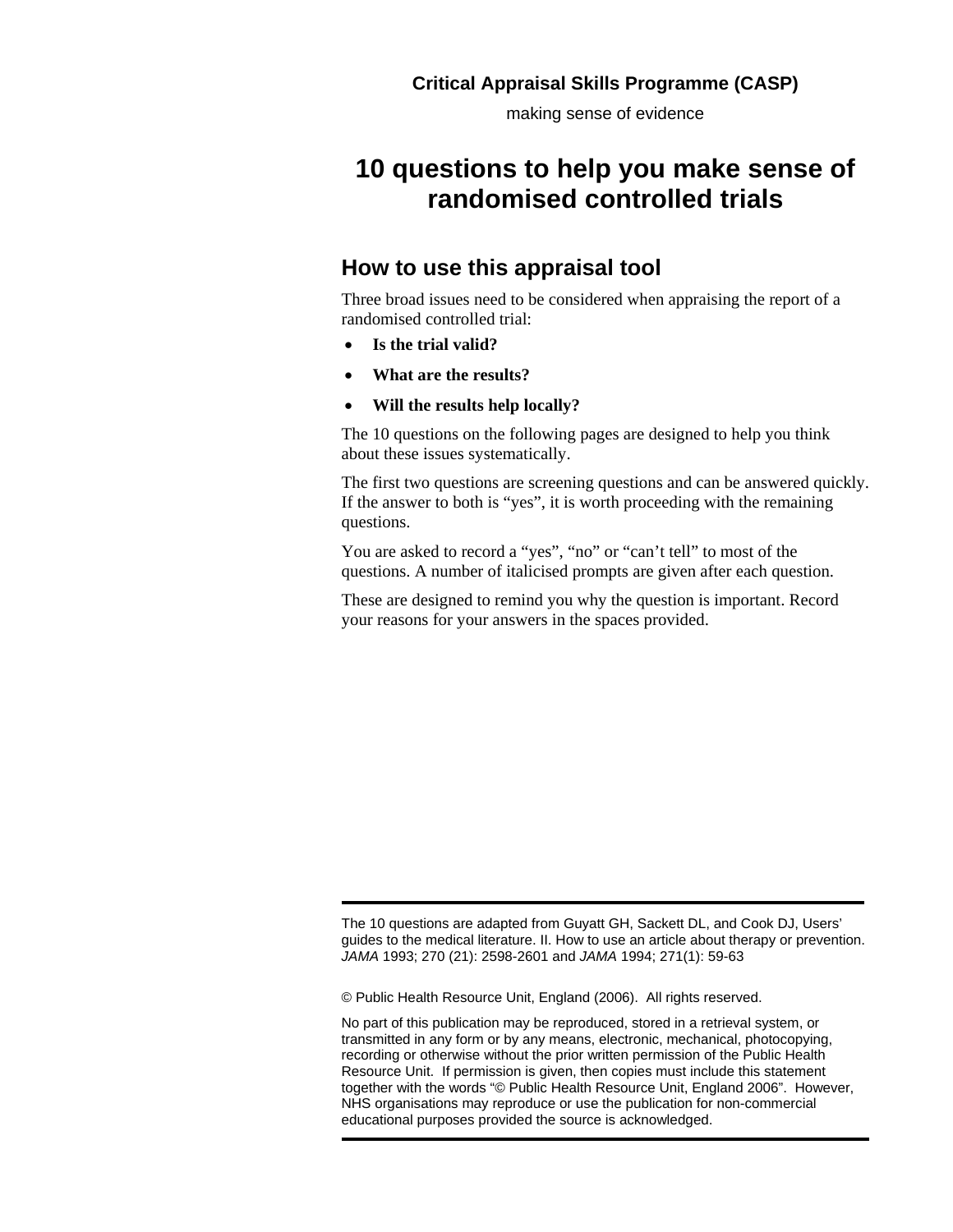making sense of evidence

# **10 questions to help you make sense of randomised controlled trials**

### **How to use this appraisal tool**

Three broad issues need to be considered when appraising the report of a randomised controlled trial:

- **Is the trial valid?**
- **What are the results?**
- **Will the results help locally?**

The 10 questions on the following pages are designed to help you think about these issues systematically.

The first two questions are screening questions and can be answered quickly. If the answer to both is "yes", it is worth proceeding with the remaining questions.

You are asked to record a "yes", "no" or "can't tell" to most of the questions. A number of italicised prompts are given after each question.

These are designed to remind you why the question is important. Record your reasons for your answers in the spaces provided.

© Public Health Resource Unit, England (2006). All rights reserved.

The 10 questions are adapted from Guyatt GH, Sackett DL, and Cook DJ, Users' guides to the medical literature. II. How to use an article about therapy or prevention. *JAMA* 1993; 270 (21): 2598-2601 and *JAMA* 1994; 271(1): 59-63

No part of this publication may be reproduced, stored in a retrieval system, or transmitted in any form or by any means, electronic, mechanical, photocopying, recording or otherwise without the prior written permission of the Public Health Resource Unit. If permission is given, then copies must include this statement together with the words "© Public Health Resource Unit, England 2006". However, NHS organisations may reproduce or use the publication for non-commercial educational purposes provided the source is acknowledged.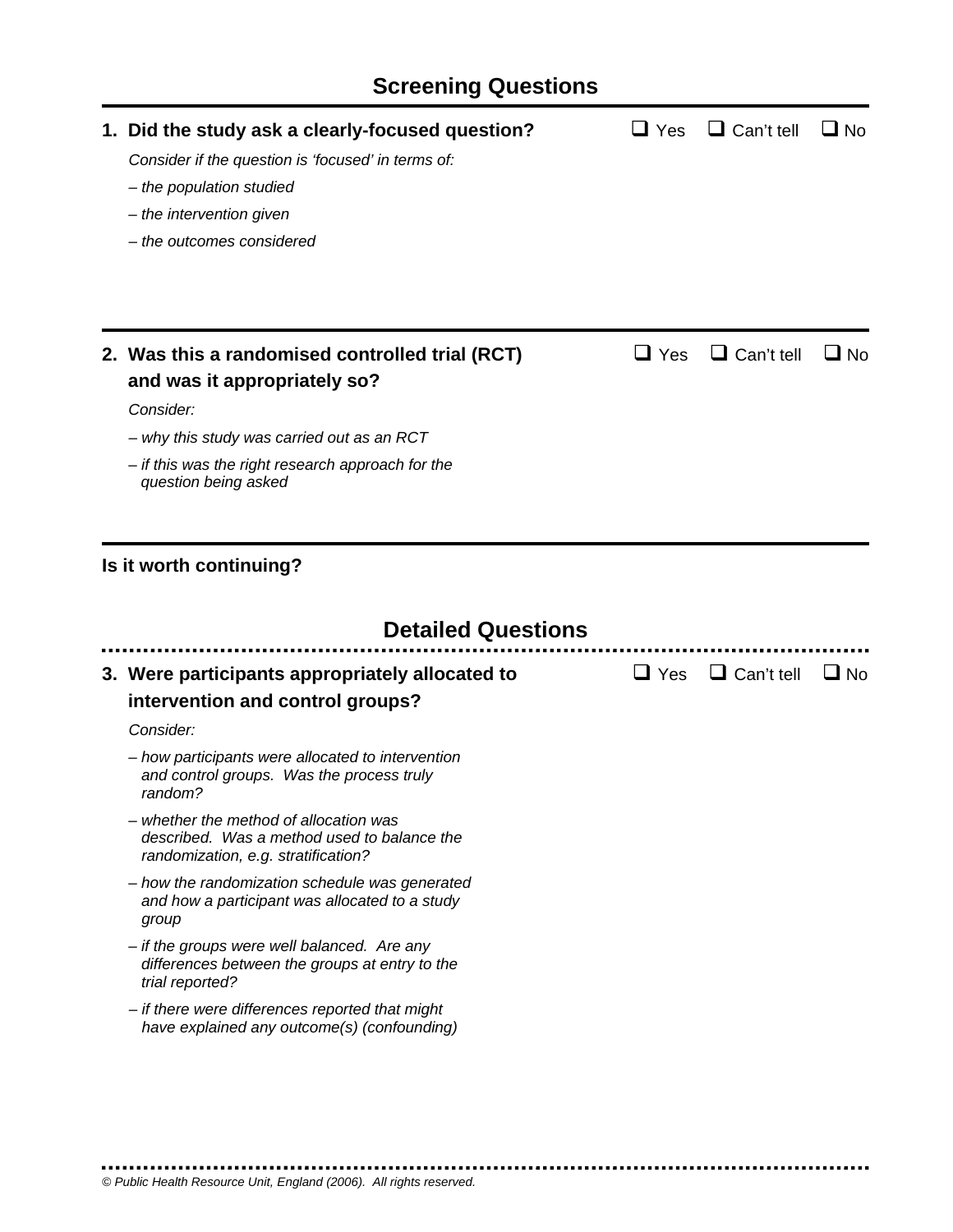# **Screening Questions**

| 1. Did the study ask a clearly-focused question?<br>Consider if the question is 'focused' in terms of:<br>- the population studied<br>- the intervention given<br>- the outcomes considered | $\sqcup$ Yes | $\Box$ Can't tell | $\Box$ No |
|---------------------------------------------------------------------------------------------------------------------------------------------------------------------------------------------|--------------|-------------------|-----------|
| 2. Was this a randomised controlled trial (RCT)                                                                                                                                             | $\sqcup$ Yes | $\Box$ Can't tell | ∐ No      |
| and was it appropriately so?                                                                                                                                                                |              |                   |           |
| Consider:                                                                                                                                                                                   |              |                   |           |
| - why this study was carried out as an RCT                                                                                                                                                  |              |                   |           |
| - if this was the right research approach for the<br>question being asked                                                                                                                   |              |                   |           |
| <b>Detailed Questions</b>                                                                                                                                                                   |              |                   |           |
| 3. Were participants appropriately allocated to<br>intervention and control groups?                                                                                                         | $\Box$ Yes   | $\Box$ Can't tell | $\Box$ No |
| Consider:                                                                                                                                                                                   |              |                   |           |
| - how participants were allocated to intervention<br>and control groups. Was the process truly<br>random?                                                                                   |              |                   |           |
| - whether the method of allocation was<br>described. Was a method used to balance the<br>randomization, e.g. stratification?                                                                |              |                   |           |
| - how the randomization schedule was generated<br>and how a participant was allocated to a study<br>group                                                                                   |              |                   |           |
| - if the groups were well balanced. Are any<br>differences between the groups at entry to the<br>trial reported?                                                                            |              |                   |           |
| - if there were differences reported that might<br>have explained any outcome(s) (confounding)                                                                                              |              |                   |           |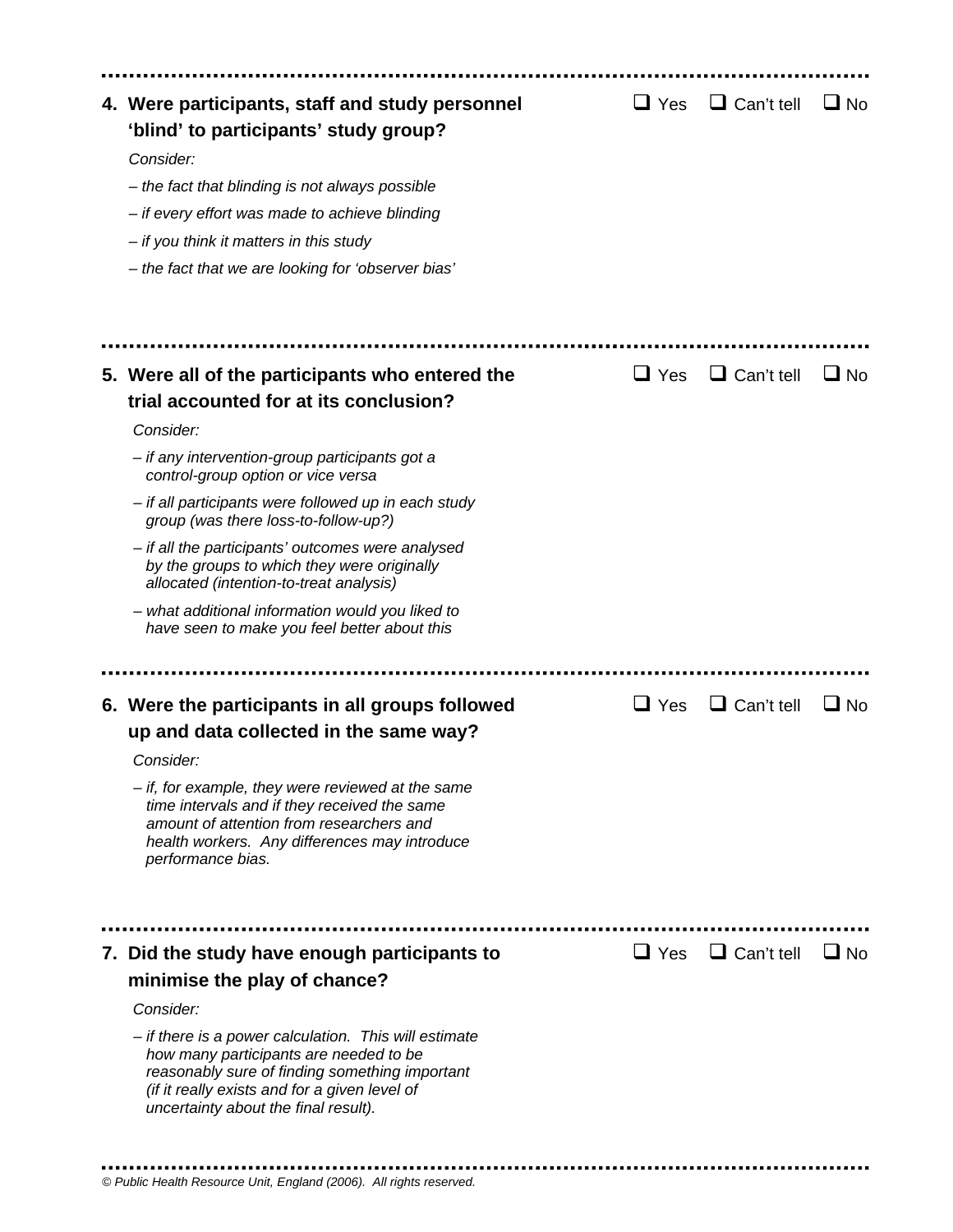| 4. Were participants, staff and study personnel<br>'blind' to participants' study group?<br>Consider:<br>- the fact that blinding is not always possible<br>- if every effort was made to achieve blinding<br>- if you think it matters in this study<br>- the fact that we are looking for 'observer bias' | $\sqcup$ Yes | $\Box$ Can't tell | $\Box$ No   |
|-------------------------------------------------------------------------------------------------------------------------------------------------------------------------------------------------------------------------------------------------------------------------------------------------------------|--------------|-------------------|-------------|
|                                                                                                                                                                                                                                                                                                             |              |                   |             |
| 5. Were all of the participants who entered the                                                                                                                                                                                                                                                             | $\sqcup$ Yes | $\Box$ Can't tell | No <b>L</b> |
| trial accounted for at its conclusion?                                                                                                                                                                                                                                                                      |              |                   |             |
| Consider:                                                                                                                                                                                                                                                                                                   |              |                   |             |
| - if any intervention-group participants got a<br>control-group option or vice versa                                                                                                                                                                                                                        |              |                   |             |
| - if all participants were followed up in each study<br>group (was there loss-to-follow-up?)                                                                                                                                                                                                                |              |                   |             |
| - if all the participants' outcomes were analysed<br>by the groups to which they were originally<br>allocated (intention-to-treat analysis)                                                                                                                                                                 |              |                   |             |
| - what additional information would you liked to<br>have seen to make you feel better about this                                                                                                                                                                                                            |              |                   |             |
|                                                                                                                                                                                                                                                                                                             |              |                   |             |
| 6. Were the participants in all groups followed                                                                                                                                                                                                                                                             | $\sqcup$ Yes | $\Box$ Can't tell | $\Box$ No   |
| up and data collected in the same way?                                                                                                                                                                                                                                                                      |              |                   |             |
| Consider:<br>$-$ if, for example, they were reviewed at the same<br>time intervals and if they received the same<br>amount of attention from researchers and<br>health workers. Any differences may introduce<br>performance bias.                                                                          |              |                   |             |
|                                                                                                                                                                                                                                                                                                             |              |                   |             |
| 7. Did the study have enough participants to                                                                                                                                                                                                                                                                | $\Box$ Yes   | $\Box$ Can't tell | $\Box$ No   |
| minimise the play of chance?                                                                                                                                                                                                                                                                                |              |                   |             |
| Consider:                                                                                                                                                                                                                                                                                                   |              |                   |             |
| - if there is a power calculation. This will estimate<br>how many participants are needed to be<br>reasonably sure of finding something important<br>(if it really exists and for a given level of<br>uncertainty about the final result).                                                                  |              |                   |             |
|                                                                                                                                                                                                                                                                                                             |              |                   |             |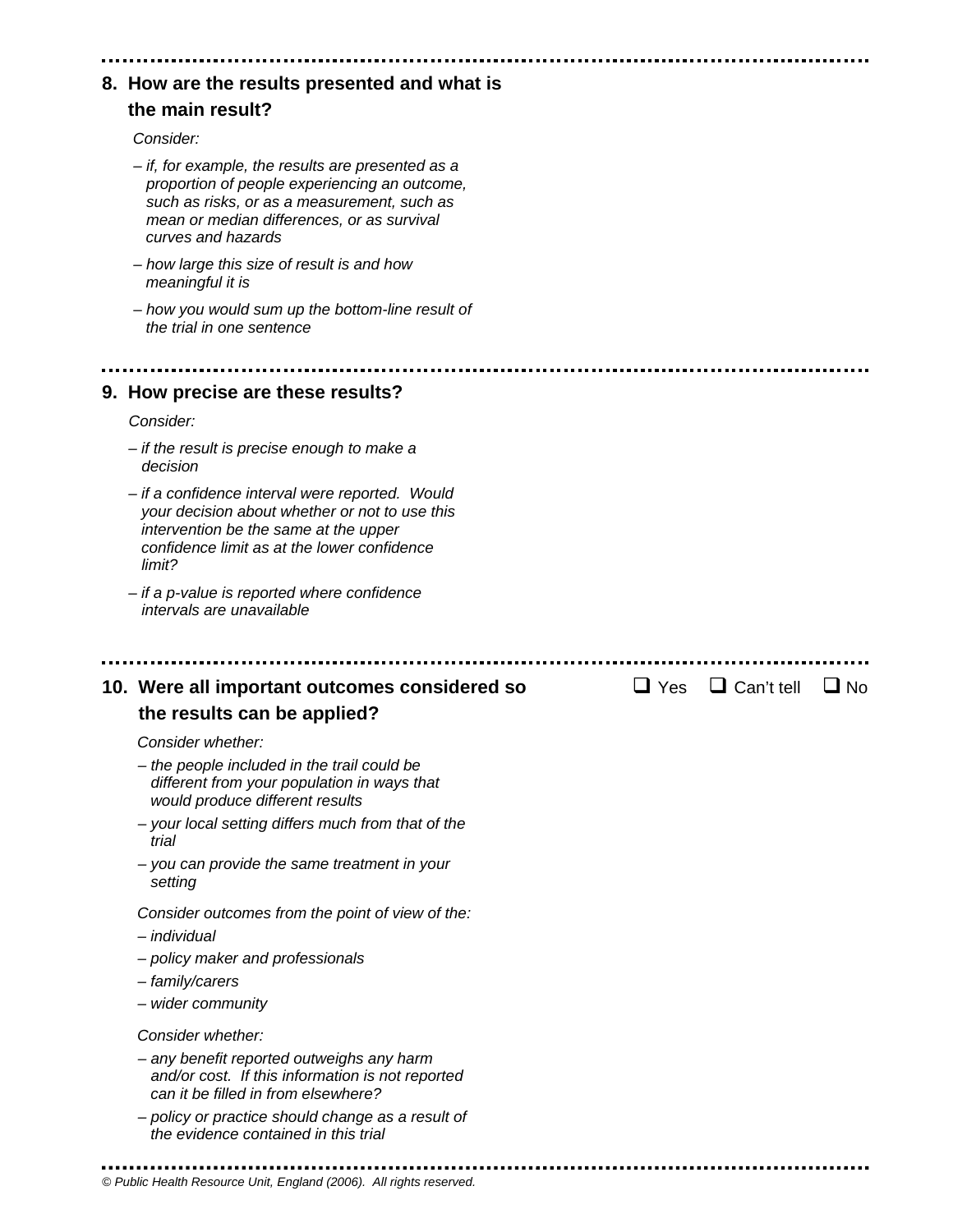| 8. How are the results presented and what is                                                                                                                                                                          |
|-----------------------------------------------------------------------------------------------------------------------------------------------------------------------------------------------------------------------|
| the main result?                                                                                                                                                                                                      |
| Consider:                                                                                                                                                                                                             |
| - if, for example, the results are presented as a<br>proportion of people experiencing an outcome,<br>such as risks, or as a measurement, such as<br>mean or median differences, or as survival<br>curves and hazards |
| - how large this size of result is and how<br>meaningful it is                                                                                                                                                        |
| - how you would sum up the bottom-line result of<br>the trial in one sentence                                                                                                                                         |
|                                                                                                                                                                                                                       |
| 9. How precise are these results?                                                                                                                                                                                     |
| Consider:                                                                                                                                                                                                             |
| - if the result is precise enough to make a<br>decision                                                                                                                                                               |
| - if a confidence interval were reported. Would<br>your decision about whether or not to use this<br>intervention be the same at the upper<br>confidence limit as at the lower confidence<br>limit?                   |
| - if a p-value is reported where confidence<br>intervals are unavailable                                                                                                                                              |
|                                                                                                                                                                                                                       |
| $\Box$ Can't tell<br>$\Box$ Yes<br>10. Were all important outcomes considered so<br>$\Box$ No                                                                                                                         |
| the results can be applied?                                                                                                                                                                                           |
| Consider whether:                                                                                                                                                                                                     |
| - the people included in the trail could be<br>different from your population in ways that<br>would produce different results                                                                                         |
| - your local setting differs much from that of the<br>trial                                                                                                                                                           |
| - you can provide the same treatment in your<br>setting                                                                                                                                                               |
| Consider outcomes from the point of view of the:                                                                                                                                                                      |
| - individual                                                                                                                                                                                                          |
| - policy maker and professionals                                                                                                                                                                                      |
| - family/carers                                                                                                                                                                                                       |
| - wider community                                                                                                                                                                                                     |
| Consider whether:                                                                                                                                                                                                     |
| - any benefit reported outweighs any harm<br>and/or cost. If this information is not reported<br>can it be filled in from elsewhere?                                                                                  |
| - policy or practice should change as a result of<br>the evidence contained in this trial                                                                                                                             |
|                                                                                                                                                                                                                       |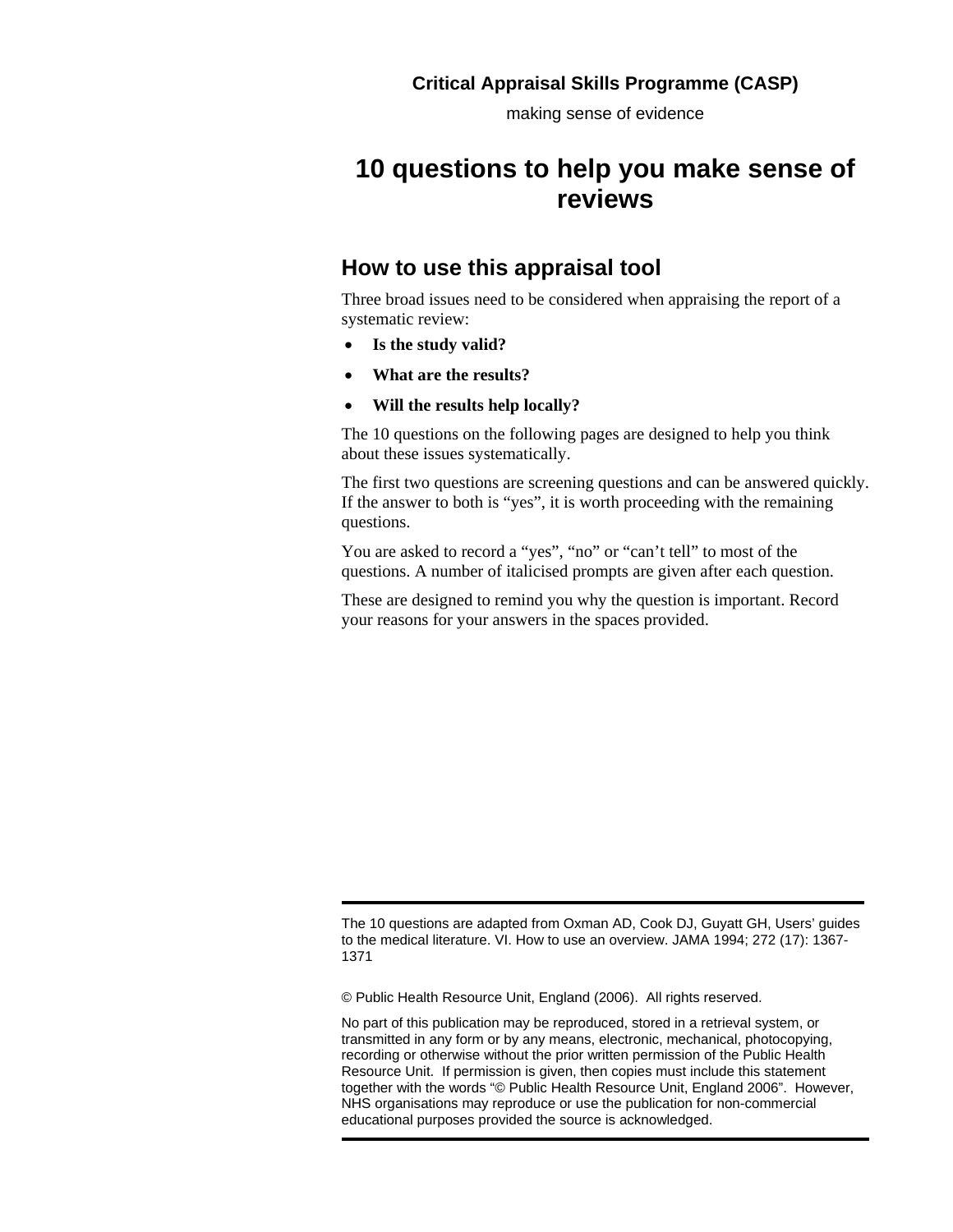making sense of evidence

## **10 questions to help you make sense of reviews**

### **How to use this appraisal tool**

Three broad issues need to be considered when appraising the report of a systematic review:

- **Is the study valid?**
- **What are the results?**
- **Will the results help locally?**

The 10 questions on the following pages are designed to help you think about these issues systematically.

The first two questions are screening questions and can be answered quickly. If the answer to both is "yes", it is worth proceeding with the remaining questions.

You are asked to record a "yes", "no" or "can't tell" to most of the questions. A number of italicised prompts are given after each question.

These are designed to remind you why the question is important. Record your reasons for your answers in the spaces provided.

© Public Health Resource Unit, England (2006). All rights reserved.

The 10 questions are adapted from Oxman AD, Cook DJ, Guyatt GH, Users' guides to the medical literature. VI. How to use an overview. JAMA 1994; 272 (17): 1367- 1371

No part of this publication may be reproduced, stored in a retrieval system, or transmitted in any form or by any means, electronic, mechanical, photocopying, recording or otherwise without the prior written permission of the Public Health Resource Unit. If permission is given, then copies must include this statement together with the words "© Public Health Resource Unit, England 2006". However, NHS organisations may reproduce or use the publication for non-commercial educational purposes provided the source is acknowledged.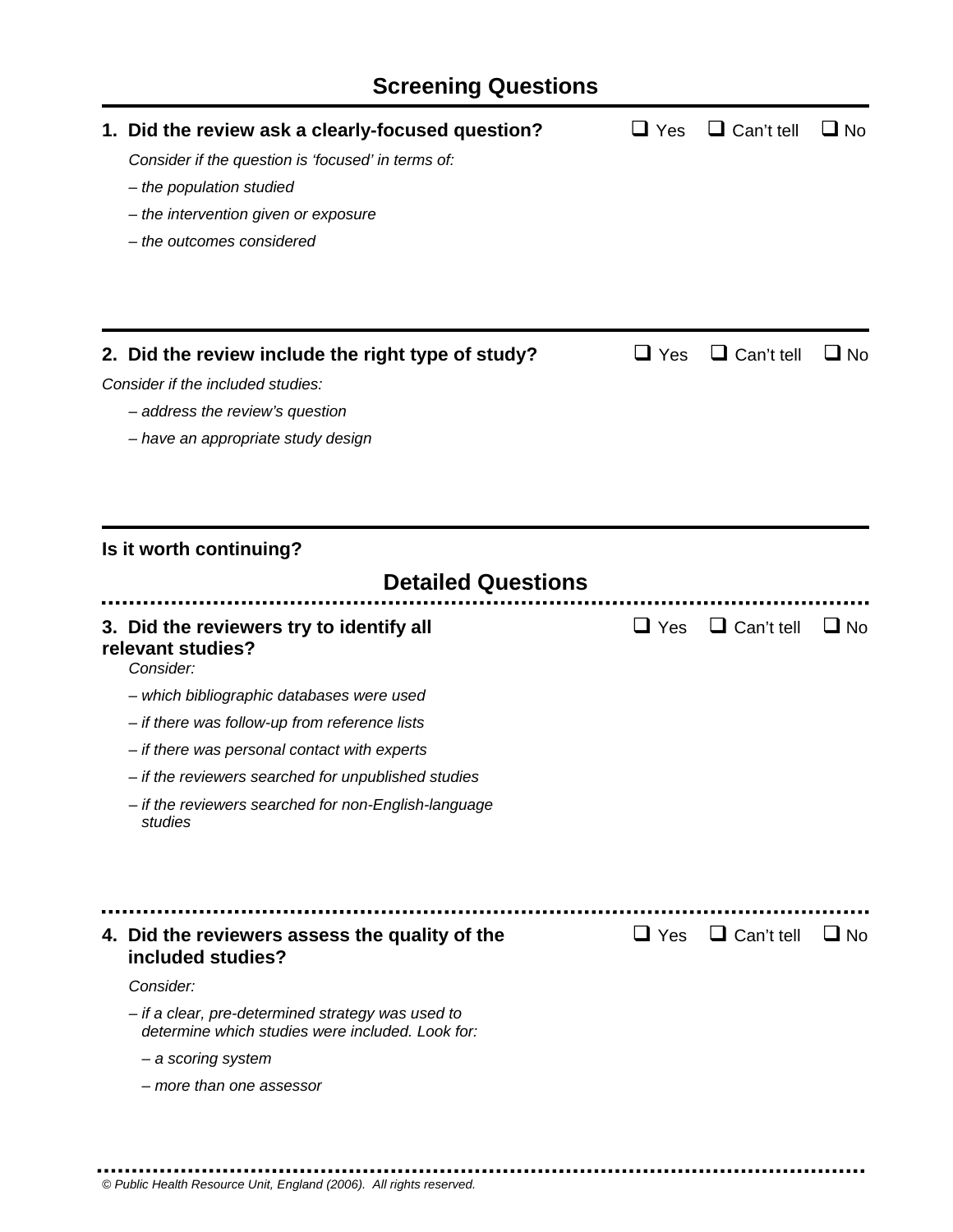# **Screening Questions**

| 1. Did the review ask a clearly-focused question?<br>Consider if the question is 'focused' in terms of:<br>- the population studied<br>- the intervention given or exposure<br>- the outcomes considered | $\sqcup$ Yes | $\Box$ Can't tell            | $\square$ No |
|----------------------------------------------------------------------------------------------------------------------------------------------------------------------------------------------------------|--------------|------------------------------|--------------|
| 2. Did the review include the right type of study?                                                                                                                                                       | $\sqcup$ Yes | $\Box$ Can't tell            | $\square$ No |
| Consider if the included studies:                                                                                                                                                                        |              |                              |              |
| - address the review's question                                                                                                                                                                          |              |                              |              |
| - have an appropriate study design                                                                                                                                                                       |              |                              |              |
|                                                                                                                                                                                                          |              |                              |              |
| Is it worth continuing?                                                                                                                                                                                  |              |                              |              |
| <b>Detailed Questions</b>                                                                                                                                                                                |              |                              |              |
| 3. Did the reviewers try to identify all<br>relevant studies?<br>Consider:                                                                                                                               | $\sqcup$ Yes | $\Box$ Can't tell            | $\Box$ No    |
| - which bibliographic databases were used                                                                                                                                                                |              |                              |              |
| - if there was follow-up from reference lists                                                                                                                                                            |              |                              |              |
| - if there was personal contact with experts                                                                                                                                                             |              |                              |              |
| - if the reviewers searched for unpublished studies                                                                                                                                                      |              |                              |              |
| - if the reviewers searched for non-English-language<br>studies                                                                                                                                          |              |                              |              |
|                                                                                                                                                                                                          |              |                              |              |
| 4. Did the reviewers assess the quality of the<br>included studies?                                                                                                                                      |              | $\Box$ Yes $\Box$ Can't tell | $\Box$ No    |
| Consider:                                                                                                                                                                                                |              |                              |              |
| - if a clear, pre-determined strategy was used to<br>determine which studies were included. Look for:                                                                                                    |              |                              |              |
| - a scoring system                                                                                                                                                                                       |              |                              |              |
|                                                                                                                                                                                                          |              |                              |              |

.....................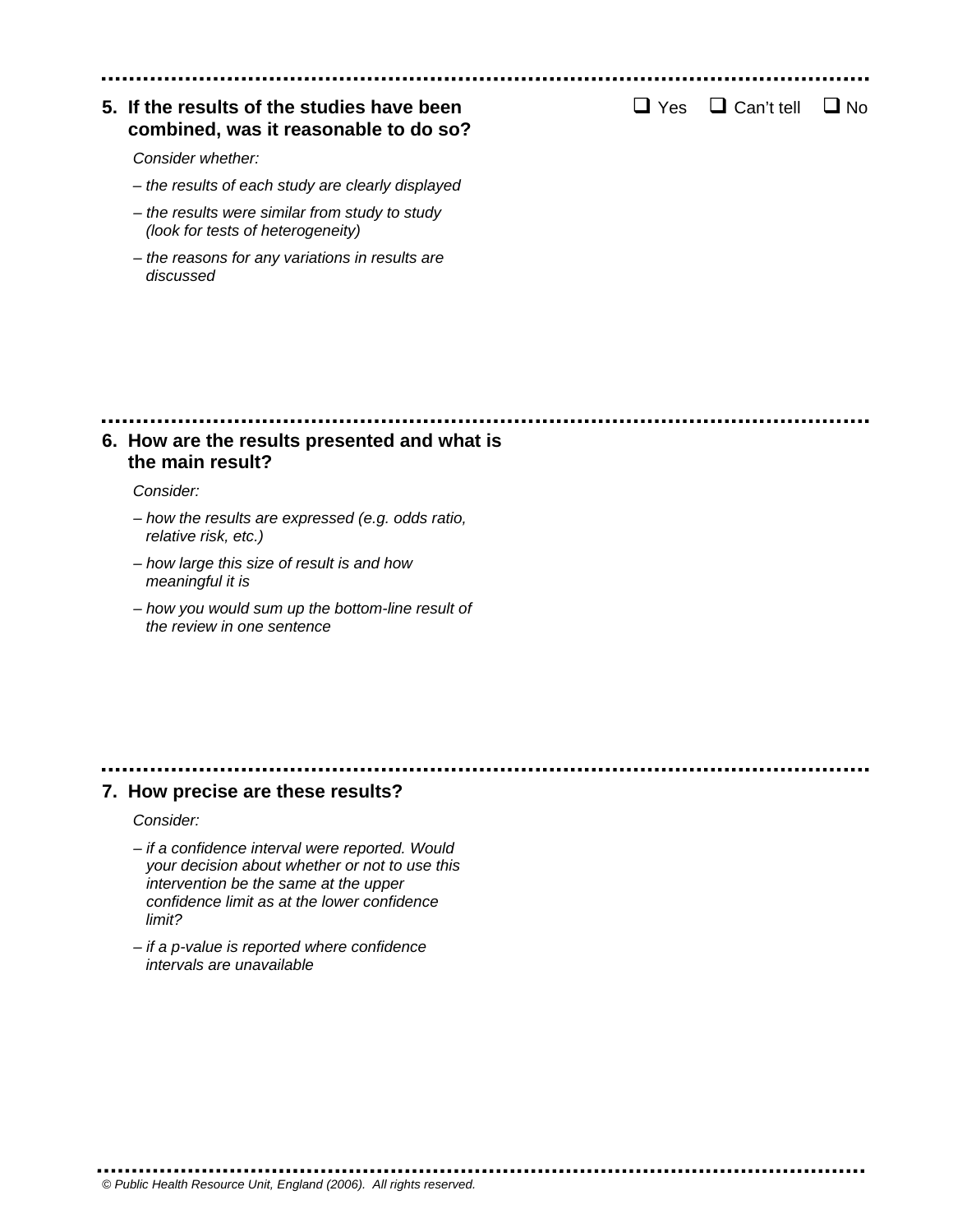### **5. If the results of the studies have been**  $\Box$  Yes  $\Box$  Can't tell  $\Box$  No  **combined, was it reasonable to do so?**

*Consider whether:* 

- *the results of each study are clearly displayed*
- *the results were similar from study to study (look for tests of heterogeneity)*
- *the reasons for any variations in results are discussed*

### **6. How are the results presented and what is the main result?**

#### *Consider:*

- *how the results are expressed (e.g. odds ratio, relative risk, etc.)*
- *how large this size of result is and how meaningful it is*
- *how you would sum up the bottom-line result of the review in one sentence*

#### **7. How precise are these results?**

*Consider:* 

- *if a confidence interval were reported. Would your decision about whether or not to use this intervention be the same at the upper confidence limit as at the lower confidence limit?*
- *if a p-value is reported where confidence intervals are unavailable*